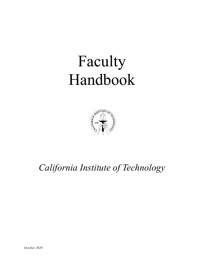# Faculty Handbook



# *California Institute of Technology*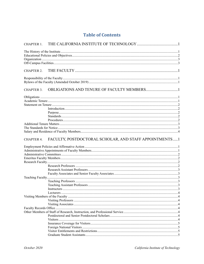| CHAPTER 1.        |                                                        |  |
|-------------------|--------------------------------------------------------|--|
|                   |                                                        |  |
|                   |                                                        |  |
|                   |                                                        |  |
|                   |                                                        |  |
|                   |                                                        |  |
| CHAPTER 2.        |                                                        |  |
|                   |                                                        |  |
|                   |                                                        |  |
|                   |                                                        |  |
| <b>CHAPTER 3.</b> |                                                        |  |
|                   |                                                        |  |
|                   |                                                        |  |
|                   |                                                        |  |
|                   |                                                        |  |
|                   |                                                        |  |
|                   |                                                        |  |
|                   |                                                        |  |
|                   |                                                        |  |
|                   |                                                        |  |
|                   |                                                        |  |
|                   |                                                        |  |
| <b>CHAPTER 4.</b> | FACULTY, POSTDOCTORAL SCHOLAR, AND STAFF APPOINTMENTS1 |  |
|                   |                                                        |  |
|                   |                                                        |  |
|                   |                                                        |  |
|                   |                                                        |  |
|                   |                                                        |  |
|                   |                                                        |  |
|                   |                                                        |  |
|                   |                                                        |  |
|                   |                                                        |  |
|                   |                                                        |  |
|                   |                                                        |  |
|                   |                                                        |  |
|                   | In structures. 33                                      |  |
|                   |                                                        |  |
|                   |                                                        |  |
|                   |                                                        |  |
|                   |                                                        |  |
|                   |                                                        |  |
|                   |                                                        |  |
|                   |                                                        |  |
|                   |                                                        |  |
|                   |                                                        |  |
|                   |                                                        |  |
|                   |                                                        |  |
|                   |                                                        |  |
|                   |                                                        |  |

# **Table of Contents**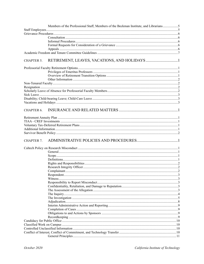|                   | Members of the Professional Staff, Members of the Beckman Institute, and Librarians5 |  |
|-------------------|--------------------------------------------------------------------------------------|--|
|                   |                                                                                      |  |
|                   |                                                                                      |  |
|                   |                                                                                      |  |
|                   |                                                                                      |  |
|                   |                                                                                      |  |
|                   |                                                                                      |  |
|                   |                                                                                      |  |
| <b>CHAPTER 5.</b> |                                                                                      |  |
|                   |                                                                                      |  |
|                   |                                                                                      |  |
|                   |                                                                                      |  |
|                   |                                                                                      |  |
|                   |                                                                                      |  |
|                   |                                                                                      |  |
|                   |                                                                                      |  |
|                   |                                                                                      |  |
|                   |                                                                                      |  |
|                   |                                                                                      |  |
|                   |                                                                                      |  |
| <b>CHAPTER 6.</b> |                                                                                      |  |
|                   |                                                                                      |  |
|                   |                                                                                      |  |
|                   |                                                                                      |  |
|                   |                                                                                      |  |
|                   |                                                                                      |  |
|                   |                                                                                      |  |
| <b>CHAPTER 7.</b> |                                                                                      |  |
|                   |                                                                                      |  |
|                   |                                                                                      |  |
|                   |                                                                                      |  |
|                   |                                                                                      |  |
|                   |                                                                                      |  |
|                   |                                                                                      |  |
|                   |                                                                                      |  |
|                   |                                                                                      |  |
|                   |                                                                                      |  |
|                   |                                                                                      |  |
|                   |                                                                                      |  |
|                   |                                                                                      |  |
|                   |                                                                                      |  |
|                   |                                                                                      |  |
|                   |                                                                                      |  |
|                   |                                                                                      |  |
|                   |                                                                                      |  |
|                   |                                                                                      |  |
|                   |                                                                                      |  |
|                   |                                                                                      |  |
|                   |                                                                                      |  |
|                   |                                                                                      |  |
|                   |                                                                                      |  |
|                   |                                                                                      |  |
|                   |                                                                                      |  |
|                   |                                                                                      |  |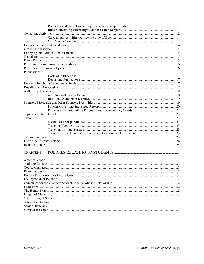| <b>CHAPTER 8.</b> |  |
|-------------------|--|
|                   |  |
|                   |  |
|                   |  |
|                   |  |
|                   |  |
|                   |  |
|                   |  |
|                   |  |
|                   |  |
|                   |  |
|                   |  |
|                   |  |
|                   |  |
|                   |  |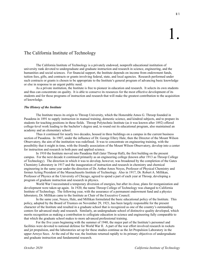# The California Institute of Technology

The California Institute of Technology is a privately endowed, nonprofit educational institution of university rank devoted to undergraduate and graduate instruction and research in science, engineering, and the humanities and social sciences. For financial support, the Institute depends on income from endowment funds, tuition fees, gifts, and contracts or grants involving federal, state, and local agencies. Research performed under such contracts or grants is chosen to be appropriate to the Institute's general program of advancing basic knowledge or else in response to an urgent public need.

As a private institution, the Institute is free to pioneer in education and research. It selects its own students and thus can concentrate on quality. It is able to conserve its resources for the most effective development of its students and for those programs of instruction and research that will make the greatest contribution to the acquisition of knowledge.

# *The History of the Institute*

The Institute traces its origin to Throop University, which the Honorable Amos G. Throop founded in Pasadena in 1891 to supply instruction in manual training, domestic science, and kindred subjects, and to prepare its students for teaching positions in these fields. Throop Polytechnic Institute (as it was known after 1892) offered college-level work leading to the bachelor's degree and, to round out its educational program, also maintained an academy and an elementary school.

Thus it continued for nearly two decades, housed in three buildings on a campus in the current business section of Pasadena. In 1907, under the influence of Dr. George Ellery Hale, then the Director of the Mount Wilson Observatory, the aim of the institution was redefined. It was to concentrate on engineering training, with the possibility that it might in time, with the friendly association of the Mount Wilson Observatory, develop into a center for instruction and research in both pure and applied science.

In 1910 the Institute moved into Pasadena Hall (later Throop Hall), the first building on the present campus. For the next decade it continued primarily as an engineering college (known after 1913 as Throop College of Technology). The direction in which it was to develop, however, was broadened by the completion of the Gates Chemistry Laboratory in 1917 and the inauguration of instruction and research in chemistry and chemical engineering in the same year under the direction of Dr. Arthur Amos Noyes, Professor of Physical Chemistry and former Acting President of the Massachusetts Institute of Technology. Also in 1917, Dr. Robert A. Millikan, Professor of Physics at the University of Chicago, agreed to spend a part of each year at Throop, developing a program of graduate instruction and research in physics.

World War I necessitated a temporary diversion of energies, but after its close, plans for reorganization and development were taken up again. In 1920, the name Throop College of Technology was changed to California Institute of Technology. The following year, with the assurance of a permanent endowment fund and a physics laboratory, Dr. Millikan came to the Institute as Chair of the Executive Council.

In the same year, Noyes, Hale, and Millikan formulated the basic educational policy of the Institute. This policy, adopted by the Board of Trustees on November 29, 1921, has been largely responsible for the present character of the Institute and resulted in a graduate school that is recognized as one of the country's outstanding centers for advanced study and research. Similarly, an undergraduate school of distinctive quality developed, which merits recognition as making a contribution to collegiate education in science and engineering fully comparable to that which the graduate school makes to more advanced professional training.

For the five years beginning with the summer of 1940, the major part of the Institute's personnel and facilities were devoted to national defense for World War II. A part of the war effort involved research in rockets and jet propulsion, and the laboratories set up for these studies continue as the Jet Propulsion Laboratory in the upper Arroyo Seco. At the end of the war, the Institute returned rapidly to its primary objectives of undergraduate and graduate instruction and fundamental research.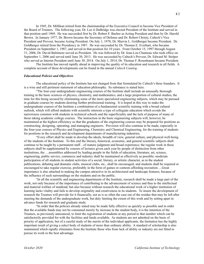In 1945, Dr. Millikan retired from the chairmanship of the Executive Council to become Vice President of the Board of Trustees. The following year, Dr. Lee A DuBridge was elected President of the Institute and served in that position until 1969. He was succeeded first by Dr. Robert F. Bacher as Acting President and then by Dr. Harold Brown. In January 1977, Dr. Brown became the Secretary of Defense and Dr. Robert Christy, Caltech's Vice President and Provost, became Acting President. On July 1, 1978, Dr. Marvin L. Goldberger became President. Dr. Goldberger retired from the Presidency in 1987. He was succeeded by Dr. Thomas E. Everhart, who became President on September 1, 1987, and served in that position for 10 years. From October 15, 1997 through August 31, 2006, Dr. David Baltimore served as President. He was followed by Dr. Jean-Lou Chameau who took office on September 1, 2006 and served until June 30, 2013. He was succeeded by Caltech's Provost, Dr. Edward M. Stolper who served as Interim President until June 30, 2014. On July 1, 2014, Dr. Thomas F. Rosenbaum became President.

The Institute has moved rapidly ahead in improving the quality of its education and research in all fields. A complete account of these developments can be found in the annual *Caltech Catalog*.

# *Educational Policies and Objectives*

The educational policy of the Institute has not changed from that formulated by Caltech's three founders. It is a wise and still pertinent statement of education philosophy. Its substance is stated here.

"The four-year undergraduate engineering courses of the Institute shall include an unusually thorough training in the basic sciences of physics, chemistry, and mathematics, and a large proportion of cultural studies; the time for this being secured by eliminating some of the more specialized engineering subjects, which may be pursued in graduate courses by students desiring further professional training. It is hoped in this way to make the undergraduate courses of the Institute a combination of a fundamental scientific training with a broad cultural outlook, which will afford students with scientific interests a type of collegiate education which avoids the narrowness common with students in technical schools and the superficiality and the lack of purpose of many of those taking academic college courses. The instruction in the basic engineering subjects will, however, be maintained at the highest efficiency so that the graduates of the engineering courses may be prepared for positions as constructing, designing, operating, and managing engineers. Provision will also continue to be made, especially in the four-year courses of Physics and Engineering, Chemistry and Chemical Engineering, for the training of students for positions in the research and development departments of manufacturing industries.

"Every effort shall be made to develop the ideals, breadth of view, general culture, and physical well-being of the students of the Institute. To this end the literary, historical, economic, and general scientific subjects shall continue to be taught by a permanent staff…of mature judgment and broad experience; the regular work in these subjects shall be supplemented by courses of lectures given each year by people of distinction from other institutions, the …assemblies addressed by leading people in the fields of education, literature, art, science, engineering, public service, commerce and industry shall be maintained as effectively as possible; moderate participation of all students in student activities of a social, literary, or artistic character, as in the student publications, debating and dramatic clubs, musical clubs, etc., shall be encouraged; and students shall be required or encouraged to take regular exercise, preferably in the form of games or contests affording recreation….Great importance is also attached to making the campus attractive in its architectural and landscape features, because of the influence of such surroundings on the students and on the public.

"In all the scientific and engineering departments of the Institute, research shall be made a large part of the work, not only because of the importance of contributing to the advancement of science and thus to the intellectual and material welfare of mankind, but also because without research the educational work of a higher institution of learning lacks vitality and fails to develop originality and creativeness in its students. To insure the development of research the Trustees will provide for it financially, not as is so often the case out of the residue that may be left after meeting the demands of the undergraduate work, but duly limiting the extent of this work and by setting apart in advance funds for research and graduate study.

"In order that the policies already stated may be made fully effective as quickly as possible and in order that the available funds may not be consumed merely by increase in the student body, it is the intention of the Trustees, as previously announced, to limit the registration of students at any period to that number which can be satisfactorily provided for with the facilities and funds available. As students are not admitted on the basis of priority of application, but of a careful study of the merits of the individual applicants, the limitation has the highly important result of giving a select body of students of more than ordinary ability. A standard of scholarship is also maintained which rapidly eliminates from the Institute those who from lack of ability or industry are not fitted to pursue its work to the best advantage.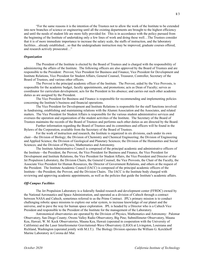"For the same reasons it is the intention of the Trustees not to allow the work of the Institute to be extended into new branches of science or engineering until all the existing departments are brought to the highest efficiency and until the needs of student life are more fully provided for. This is in accordance with the policy pursued from the beginning of the Institute of undertaking only a few lines of work and doing these well…The Trustees consider that it is of more immediate importance to increase the salary scale, the staffs of instruction, and the laboratory facilities…already established…so that the undergraduate instruction may be improved, graduate courses offered, and research actively prosecuted…"

# *Organization*

The President of the Institute is elected by the Board of Trustees and is charged with the responsibility of administering the affairs of the Institute. The following officers are also approved by the Board of Trustees and are responsible to the President: Provost, Vice President for Business and Finance, Vice President for Development and Institute Relations, Vice President for Student Affairs, General Counsel, Treasurer, Controller, Secretary of the Board of Trustees, and various other officers.

The Provost is the principal academic officer of the Institute. The Provost, aided by the Vice Provosts, is responsible for the academic budget, faculty appointments, and promotions; acts as Dean of Faculty; serves as coordinator for curriculum development; acts for the President in his absence; and carries out such other academic duties as are assigned by the President.

The Vice President for Business and Finance is responsible for recommending and implementing policies concerning the Institute's business and financial operations.

The Vice President for Development and Institute Relations is responsible for the staff functions involved in fundraising, establishing and maintaining relations with the Alumni Association and the Associates, and related matters. The Vice President for Student Affairs is responsible for the various student administrative services and oversees the operation and organization of the student activities of the Institute. The Secretary of the Board of Trustees maintains the records of the Board of Trustees and performs such other duties as are directed by the Board.

Further information regarding the Board of Trustees and its committees and officers will be found in the Bylaws of the Corporation, available from the Secretary of the Board of Trustees.

For the work of instruction and research, the Institute is organized in six divisions, each under its own chair—the Division of Biology; the Division of Chemistry and Chemical Engineering; the Division of Engineering and Applied Science; the Division of Geological and Planetary Sciences; the Division of the Humanities and Social Sciences; and the Division of Physics, Mathematics and Astronomy.

The Institute Administrative Council is composed of the principal academic and administrative officers of the Institute—the President, the Provost, the Vice President for Business and Finance, the Vice President for Development and Institute Relations, the Vice President for Student Affairs, the Vice President and Director of the Jet Propulsion Laboratory, the Division Chairs, the General Counsel, the Vice Provosts, the Chair of the Faculty, the Associate Vice President for Human Resources, the Director of Government Relations, and others at the request of the President. The Institute Academic Council (IACC) is composed of the principal academic officers of the Institute—the President, the Provost, and the Division Chairs. The IACC is the Institute body charged with reviewing and approving academic appointments, as well as the policies that guide the Institute's academic affairs.

# *Off-Campus Facilities*

The Jet Propulsion Laboratory is a federally funded research and development center (FFRDC) owned by the National Aeronautics and Space Administration, and operated as a division of Caltech through a contract between NASA and Caltech, sometimes referred to as the Prime Contract. JPL's primary mission is to conduct challenging robotic space missions to explore our solar system, to increase knowledge of our planet and the universe, and to pave the way for human space exploration. JPL is headed by a Director who is a Caltech Vice President and responsible to the President of the Institute for the management of the Laboratory.

Astronomical observatories are operated by the Division of Physics, Mathematics and Astronomy: Palomar Observatory, San Diego County; Owens Valley Radio Observatory, Big Pine; Submillimeter Observatory, Mauna Kea, Hawaii; W. M. Keck Observatories, Mauna Kea, Hawaii (operated in cooperation with the University of California) and the Laser Interferometer Gravitational-Wave Observatory (LIGO) at Livingston, Louisiana and Richland, Washington (operated jointly with M.I.T.). The Biology Division operates the William G. Kerckhoff Marine Laboratory in Corona del Mar.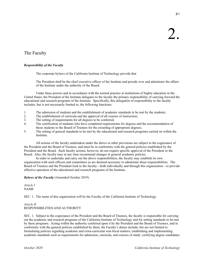# The Faculty

# *Responsibility of the Faculty*

The corporate bylaws of the California Institute of Technology provide that

The President shall be the chief executive officer of the Institute and preside over and administer the affairs of the Institute under the authority of the Board.

Under these powers and in accordance with the normal practice at institutions of higher education in the United States, the President of the Institute delegates to the faculty the primary responsibility of carrying forward the educational and research programs of the Institute. Specifically, this delegation of responsibility to the faculty includes, but is not necessarily limited to, the following functions:

- 1. The admission of students and the establishment of academic standards to be met by the students;
- 2. The establishment of curricula and the approval of all courses of instruction;
- 3. The setting of requirements for all degrees to be conferred;
- 4. The certification of students who have completed requirements for degrees and the recommendation of those students to the Board of Trustees for the awarding of appropriate degrees;
- 5. The setting of general standards to be met by the educational and research programs carried on within the Institute.

All actions of the faculty undertaken under the above or other provisions are subject to the cognizance of the President and the Board of Trustees, and must be in conformity with the general policies established by the President and the Board. Such faculty actions, however, do not require specific approval of the President or the Board. Also, the faculty may at any time recommend changes in general academic policies.

In order to undertake and carry out the above responsibilities, the faculty may establish its own organization with such officers and committees as are deemed necessary to administer these responsibilities. The Board of Trustees and the President look to the faculty—both individually and through this organization—to provide effective operation of the educational and research programs of the Institute.

# *Bylaws of the Faculty* (Amended October 2019)

*Article I* NAME

SEC. 1. The name of this organization will be the Faculty of the California Institute of Technology.

# *Article II* RESPONSIBILITIES AND AUTHORITY

SEC. 1. Subject to the cognizance of the President and the Board of Trustees, the faculty is responsible for carrying out the academic and research programs of the California Institute of Technology and for setting standards to be met by these programs. Acting within the authority conferred upon it by the President and the Board of Trustees, and in conformity with the general policies established by them, the Faculty's duties include, but are not limited to: formulating policies regarding academic and extra-curricular non-fiscal matters; establishing and implementing academic standards such as requirements for admission, curricula, and courses of study; certifying degree candidates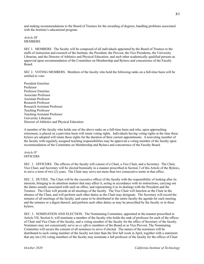and making recommendations to the Board of Trustees for the awarding of degrees; handling problems associated with the Institute's educational program.

# *Article III* MEMBERS

SEC 1. MEMBERS. The faculty will be composed of all individuals appointed by the Board of Trustees to the staffs of instruction and research of the Institute, the President, the Provost, the Vice Presidents, the University Librarian, and the Director of Athletics and Physical Education; and such other academically qualified persons as approved upon recommendation of the Committee on Membership and Bylaws and concurrence of the Faculty Board.

SEC 2. VOTING MEMBERS. Members of the faculty who hold the following ranks on a full-time basis will be entitled to vote:

President Emeritus Professor Professor Emeritus Associate Professor Assistant Professor Research Professor Research Assistant Professor Teaching Professor Teaching Assistant Professor University Librarian Director of Athletics and Physical Education

A member of the faculty who holds one of the above ranks on a full-time basis and who, upon approaching retirement, is placed on a part-time basis will retain voting rights. Individuals having voting rights at the time these bylaws are adopted will retain those rights for the duration of their current appointments. A nonvoting member of the faculty with regularly assigned teaching responsibilities may be approved a voting member of the faculty upon recommendation of the Committee on Membership and Bylaws and concurrence of the Faculty Board.

# *Article IV* **OFFICERS**

SEC. 1. OFFICERS. The officers of the faculty will consist of a Chair, a Vice Chair, and a Secretary. The Chair, Vice Chair, and Secretary will be elected biennially in a manner prescribed in Section 3 of this Article of the Bylaws, to serve a term of two (2) years. The Chair may serve not more than two consecutive terms in that office.

SEC. 2. DUTIES. The Chair will be the executive officer of the faculty with the responsibility of looking after its interests, bringing to its attention matters that may affect it, acting in accordance with its instructions, carrying out the duties usually associated with such an office, and representing it in its dealings with the President and the Trustees. The Chair will preside at all meetings of the faculty. The Vice Chair will function as the Chair in the absence of the Chair, and will perform such other duties as the Chair may designate. The Secretary will record the minutes of all meetings of the faculty, and cause to be distributed to the entire faculty the agenda for each meeting and the minutes or a digest thereof, and perform such other duties as may be prescribed by the faculty or in these bylaws.

SEC. 3. NOMINATION AND ELECTION. The Nominating Committee, appointed in the manner prescribed in Article VII, Section 6, will nominate a member of the faculty who holds the rank of professor for each of the offices of Chair and Vice Chair of the faculty, and a voting member of the faculty for the office of Secretary of the faculty. Nominees may not concurrently serve as *ex officio* members of the Board or as Vice Provost. The Nominating Committee will secure the consent of all nominees to serve if elected. The names of the nominees will be distributed to each voting member of the faculty not later than the first full week in April, together with a statement that any ten (10) voting members of the faculty may nominate a full professor of the faculty for the offices of Chair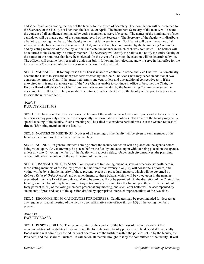and Vice Chair, and a voting member of the faculty for the office of Secretary. The nomination will be presented to the Secretary of the faculty not later than the last day of April. The incumbent Secretary of the faculty will secure the consent of all candidates nominated by voting members to serve if elected. The names of the nominators of such candidates will be made a part of the permanent record of the Secretary. The Secretary of the faculty will distribute a ballot to all voting members of the faculty in the first full week in May. Such ballot will carry the names of all individuals who have consented to serve if elected, and who have been nominated by the Nominating Committee and by voting members of the faculty, and will indicate the manner in which each was nominated. The ballots will be returned to the Secretary in a timely manner. The Secretary will certify the ballots and notify the entire faculty of the names of the nominees that have been elected. In the event of a tie vote, the election will be determined by lot. The officers will assume their respective duties on July 1 following their election, and will serve in that office for the term of two (2) years or until their successors are chosen and qualified.

SEC. 4. VACANCIES. If for any reason the Chair is unable to continue in office, the Vice Chair will automatically become the Chair, to serve the unexpired term vacated by the Chair. The Vice Chair may serve an additional two consecutive terms as Chair if the unexpired term is one year or less and one additional consecutive term if the unexpired term is more than one year. If the Vice Chair is unable to continue in office or becomes the Chair, the Faculty Board will elect a Vice Chair from nominees recommended by the Nominating Committee to serve the unexpired term. If the Secretary is unable to continue in office, the Chair of the faculty will appoint a replacement to serve the unexpired term.

# *Article V* FACULTY MEETINGS

SEC. 1. The faculty will meet at least once each term of the academic year to receive reports and to transact all such business as may properly come before it, especially the formulation of policies. The Chair of the faculty may call a special meeting of the faculty. Such a meeting will be called to consider a particular issue at the written request of fifteen (15) voting members of the faculty.

SEC. 2. NOTICES OF MEETINGS. Notices of all meetings of the faculty will be given to each member of the faculty at least one week in advance of the meeting.

SEC. 3. AGENDA. In general, matters coming before the faculty for action will be placed on the agenda before being voted upon. Any matter may be placed before the faculty and acted upon without being placed on the agenda, unless any two (2) voting members of the faculty will request a delay. Under such circumstances, the presiding officer will delay the vote until the next meeting of the faculty.

SEC. 4. TRANSACTING BUSINESS. For purposes of transacting business, save as otherwise set forth herein, those voting members of the faculty present, but no fewer than twenty-five (25), will constitute a quorum, and voting will be by a simple majority of those present, except on procedural matters, which will be governed by *Robert's Rules of Order Revised*, and on amendments to these bylaws, which will be voted upon in the manner prescribed in Article IX of these bylaws. Voting by proxy will not be permitted. At the discretion of the Chair of the faculty, a written ballot may be required. Any action may be referred to letter ballot upon the affirmative vote of forty percent (40%) of the voting members present at any meeting, and such letter ballot will be accompanied by statements of pros and cons of the question drafted by appropriate interested representatives of the two sides.

SEC. 5. RECOMMENDING CANDIDATES FOR DEGREES. Candidates may be recommended for degrees at any regular or special meeting of the faculty upon affirmative vote of two-thirds (2/3) of the voting members present.

*Article VI* FACULTY BOARD

SEC. 1. RESPONSIBILITY. The responsibility for the conduct of the business of the faculty, except the recommendation of candidates for degrees and the formulation of faculty policies, will be delegated to a Faculty Board which will administer the educational operations of the Institute within the policies set up by the faculty, the President, and the Board of Trustees. It will act on all matters brought to it by the committees of the faculty. It will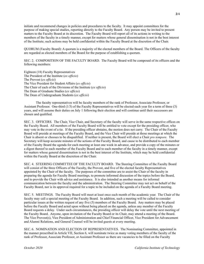initiate and recommend changes in policies and procedures to the faculty. It may appoint committees for the purpose of making special studies, reporting directly to the Faculty Board. Any person may be invited to present matters to the Faculty Board at its discretion. The Faculty Board will report all of its actions in writing to the members of the faculty in a timely manner, except for matters whose general dissemination is not in the best interest of the Institute; such actions may be held confidential within the Faculty Board at the discretion of the Chair.

QUORUM (Faculty Board): A quorum is a majority of the elected members of the Board. The Officers of the faculty are regarded as elected members of the Board for the purpose of establishing a quorum.

SEC. 2. COMPOSITION OF THE FACULTY BOARD. The Faculty Board will be composed of its officers and the following members:

Eighteen (18) Faculty Representatives The President of the Institute (*ex officio*) The Provost (*ex officio*) The Vice President for Student Affairs (*ex officio*) The Chair of each of the Divisions of the Institute (*ex officio*) The Dean of Graduate Studies (*ex officio*) The Dean of Undergraduate Students (*ex officio*)

The faculty representatives will be faculty members of the rank of Professor, Associate Professor, or Assistant Professor. One-third (1/3) of the Faculty Representatives will be elected each year for a term of three (3) years, and will assume their duties on July 1 following their election and will continue until their successors are chosen and qualified.

SEC. 3. OFFICERS. The Chair, Vice Chair, and Secretary of the faculty will serve in the same respective offices on the Faculty Board. All members of the Faculty Board will be entitled to vote except for the presiding officer, who may vote in the event of a tie. If the presiding officer abstains, the motion does not carry. The Chair of the Faculty Board will preside at meetings of the Faculty Board, and the Vice Chair will preside at those meetings at which the Chair is absent or chooses to be disqualified. If neither is present, the Board will elect a Chair *pro tempore*. The Secretary will keep accurate minutes of the actions of the Faculty Board, and cause to be distributed to each member of the Faculty Board the agenda for each meeting at least one week in advance, and provide a copy of the minutes or a digest thereof to each member of the Faculty Board and to each member of the faculty in a timely manner, except for matters whose general dissemination is not in the best interest of the Institute, which may be held confidential within the Faculty Board at the discretion of the Chair.

SEC. 4. STEERING COMMITTEE OF THE FACULTY BOARD. The Steering Committee of the Faculty Board will consist of the three Officers of the Faculty, the Provost, and five of the elected faculty Representatives appointed by the Chair of the faculty. The purposes of the committee are to assist the Chair of the faculty in preparing the agenda for Faculty Board meetings, to promote informed discussion of the topics before the Board, and to provide the Chair with advice and assistance. It is also intended as another means for informal communication between the faculty and the administration. The Steering Committee may not act on behalf of the Faculty Board, nor is its approval required for a topic to be included on the agenda of a Faculty Board meeting.

SEC. 5. MEETINGS. The Faculty Board will meet at least once each month of the academic year. The Chair of the faculty may call a special meeting of the Faculty Board. In addition, such a meeting will be called to consider particular issues at the written request of any five (5) members of the Faculty Board. Any matters may be placed before the Faculty Board and acted upon without being placed on the agenda, unless any member of the Faculty Board requests a delay. Under such circumstances, the presiding officer will delay the vote until the next meeting of the Faculty Board. Anyone, upon invitation of the Faculty Board or its Chair, may attend a meeting of the Board. The Vice Provost(s), Vice President of Administration and Chief Financial Officer, Vice President for Advancement and Alumni Relations, and General Counsel will be invited guests at every meeting.

SEC. 6. NOMINATION AND ELECTION OF REPRESENTATIVES. The Nominating Committee, appointed in the manner prescribed in Article VII, Section 6, will nominate twice as many voting members of the faculty of the rank of Professor, Associate Professor, or Assistant Professor as there are vacancies to be filled on the Faculty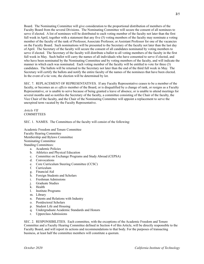Board. The Nominating Committee will give consideration to the proportional distribution of members of the Faculty Board from the several Divisions. The Nominating Committee will secure the consent of all nominees to serve if elected. A list of nominees will be distributed to each voting member of the faculty not later than the first full week in April, together with a statement that any five (5) voting members of the faculty may nominate a voting member of the faculty of the rank of Professor, Associate Professor, or Assistant Professor for one of the vacancies on the Faculty Board. Such nominations will be presented to the Secretary of the faculty not later than the last day of April. The Secretary of the faculty will secure the consent of all candidates nominated by voting members to serve if elected. The Secretary of the faculty will distribute a ballot to all voting members of the faculty in the first full week in May. Such ballot will carry the names of all individuals who have consented to serve if elected, and who have been nominated by the Nominating Committee and by voting members of the faculty, and will indicate the manner in which each was nominated. Each voting member of the faculty will be entitled to vote for three (3) candidates. The ballots will be returned to the Secretary not later than the end of the third full week in May. The Secretary will certify the ballots and notify the entire faculty of the names of the nominees that have been elected. In the event of a tie vote, the election will be determined by lot.

SEC. 7. REPLACEMENT OF REPRESENTATIVES. If any Faculty Representative ceases to be a member of the faculty, or becomes an *ex officio* member of the Board, or is disqualified by a change of rank, or resigns as a Faculty Representative, or is unable to serve because of being granted a leave of absence, or is unable to attend meetings for several months and so notifies the Secretary of the faculty, a committee consisting of the Chair of the faculty, the Vice Chair of the faculty, and the Chair of the Nominating Committee will appoint a replacement to serve the unexpired term vacated by the Faculty Representative.

*Article VII* COMMITTEES

SEC. 1. NAMES. The Committees of the faculty will consist of the following:

Academic Freedom and Tenure Committee Faculty Hearing Committee Membership and Bylaws Committee Nominating Committee Standing Committees: a. Academic Policies

- b. Athletics and Physical Education
- c. Committee on Exchange Programs and Study Abroad (CEPSA)
- d. Convocations
- e. Core Curriculum Steering Committee (CCSC)
- f. Curriculum
- g. Financial Aid
- h. Foreign Students and Scholars
- i. Freshman Admissions
- j. Graduate Studies
- k. Health
- l. Institute Programs
- m. Library
- n. Patents and Relations with Industry
- o. Postdoctoral Scholars
- p. Student Life and Housing
- q. Undergraduate Academic Standards and Honors
- r. Upperclass Admissions

SEC. 2. RESPONSIBILITIES. Each committee, with the exceptions of the Academic Freedom and Tenure Committee and a Faculty Hearing Committee defined in Section 4 of this Article, will be directly responsible to the Faculty Board, and will report its actions and recommendations to that body. For the purposes of transacting business, at least half the committee members will constitute a quorum.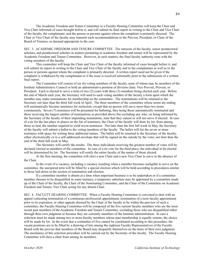The Academic Freedom and Tenure Committee or a Faculty Hearing Committee will keep the Chair and Vice Chair informed of cases brought before it, and will submit its final report in writing to the Chair and Vice Chair of the faculty, the complainant, and the person or persons against whom the complaint is primarily directed. The Chair or Vice Chair of the faculty may transmit such recommendations to the Provost, President, or Chair of the Board of Trustees, as deemed appropriate to the case.

SEC. 3. ACADEMIC FREEDOM AND TENURE COMMITTEE. The interests of the faculty, senior postdoctoral scholars, and postdoctoral scholars in matters pertaining to academic freedom and tenure will be represented by the Academic Freedom and Tenure Committee. However, in such matters, the final faculty authority rests with the voting members of the faculty.

This committee will keep the Chair and Vice Chair of the faculty informed of cases brought before it, and will submit its report in writing to the Chair and Vice Chair of the faculty and to the complainant as well as to the person or persons against whom the complaint is primarily directed. A written report need not be given if the complaint is withdrawn by the complainant or if the issue is resolved informally prior to the submission of a written final report.

The Committee will consist of six (6) voting members of the faculty, none of whom may be members of the Institute Administrative Council or hold an administrative position of division chair, Vice Provost, Provost, or President. Each is elected to serve a term of two (2) years with three (3) members being elected each year. Before the end of March each year, the Secretary will send to each voting member of the faculty a form upon which the member may make nominations for membership on the committee. The nominations will be returned to the Secretary not later than the third full week of April. The three members of the committee whose terms are ending will automatically become nominees for reelection, except that no person will serve more than two terms continuously. Seven (7) nominees will be presented for balloting, they being those automatically nominated and those receiving the largest number of nominations as provided above but excluding any who, on being informed by the Secretary of the faculty of their impending nomination, state that they cannot or will not serve if elected. In case of a tie for the last place or places on the list of nominees, the Chair of the faculty will draw by lot, from among those so tied, the number required to yield seven nominees. Not later than the first full week in May, the Secretary of the faculty will submit a ballot to the voting members of the faculty The ballot will list the seven or more nominees with space for writing three additional names. The ballot will be returned to the Secretary of the faculty, either electronically or in a self-addressed envelope that will be signed on the outside by the voter, not later than the end of the third full week in May.

The Secretary will certify the results. The three individuals receiving the greatest number of votes will be declared elected as members of the committee. In case of a tie vote for the third place, the individual to be elected will be determined by lot. The Secretary will notify the entire faculty of the names of those elected.

At the first meeting, the committee will elect a new Chair and a new Vice Chair to serve in the absence of the Chair.

In the event of a vacancy, including a vacancy resulting when a member becomes ineligible to serve on the committee, the unexpired term will be filled by a special election which will be held according to procedures similar to those laid down in the section of nomination and election.

If a committee member is absent at a time when important business is to be undertaken or if a committee member chooses to be disqualified in some instance, a temporary substitute may be appointed by a committee made up of the Chair of the faculty, the Chair of the Nominating Committee, and the Chair of the Committee on Academic Freedom and Tenure, Vice Chair acting for any absent Chair.

SEC. 4. FACULTY HEARING COMMITTEE. When a Faculty Hearing Committee is convened to deal with an appeal contesting termination of a continuous professorial appointment, termination of a term faculty appointment prior to its expiration, or other appeals deemed by the Chair of the faculty to be within the purview of such a committee, the Faculty Hearing Committee will be composed of the five current faculty members who are the most recent past members of the Academic Freedom and Tenure Committee, excluding those who are disqualified either through their own judgment or because they are currently members of the Institute administration. In case a selection must be made among two or more faculty members whose past membership is equally remote, the choice will be made by lot. In the event that a committee of five cannot be constituted according to this procedure, the vacant positions are to be filled by a drawing of lots among the eighteen Faculty Representatives of the Faculty Board with the proviso that members of the Board may disqualify themselves on the basis of their own judgment. The mechanics of this selection procedure will be carried out by the Secretary of the faculty. The Faculty Hearing Committee will elect a chair from among its members.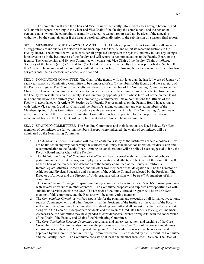The committee will keep the Chair and Vice Chair of the faculty informed of cases brought before it, and will submit its report in writing to the Chair and Vice Chair of the faculty, the complainant, and the person or persons against whom the complaint is primarily directed. A written report need not be given if the appeal is withdrawn by the complainant or if the issue is resolved informally prior to the submission of a written final report.

SEC. 5. MEMBERSHIP AND BYLAWS COMMITTEE. The Membership and Bylaws Committee will consider all suggestions of individuals for election to membership in the faculty, and report its recommendations to the Faculty Board. The committee will also consider all proposed changes in the bylaws, and may initiate any changes it believes to be in the best interest of the faculty, and will report its recommendations to the Faculty Board or the faculty. The Membership and Bylaws Committee will consist of: Vice Chair of the faculty (Chair, *ex officio*), Secretary of the faculty (*ex officio*), and five (5) elected members of the faculty chosen as prescribed in Section 8 of this Article. The members of the committee will take office on July 1 following their election and will serve for two (2) years until their successors are chosen and qualified.

SEC. 6. NOMINATING COMMITTEE. The Chair of the faculty will, not later than the last full week of January of each year, appoint a Nominating Committee to be composed of six (6) members of the faculty and the Secretary of the Faculty *ex officio*. The Chair of the faculty will designate one member of the Nominating Committee to be the Chair. The Chair of the committee and at least two other members of the committee must be selected from among the Faculty Representatives on the Faculty Board, preferably appointing those whose terms of office on the Board will continue beyond the current year. The Nominating Committee will make nominations for Officers of the Faculty in accordance with Article IV, Section 3; for Faculty Representatives on the Faculty Board in accordance with Article VI, Section 6; and for Chairs and members of standing committees and elected members of the Membership and Bylaws Committee in accordance with Section 8 of this Article. The Nominating Committee will remain in office until the next year's Nominating Committee has been appointed, for the purpose of making recommendations to the Faculty Board on replacement and additions to faculty committees.

SEC. 7. STANDING COMMITTEES. The Standing Committees and their functions are listed below. *Ex officio* members of committees are full voting members. Except where indicated, the chairs of committees will be nominated by the Nominating Committee.

- a. The *Academic Policies Committee* will make a continuous study of the Institute's academic policies. It will not be limited in any way concerning the subjects that it may take under consideration for discussion and recommendation to the Faculty Board. Among its considerations will be policy issues suggested to it by the Faculty Board and/or Chair of the Faculty.
- b. The *Athletics and Physical Education Committee* will be concerned with the formulation of policies pertaining to the Institute's program of physical education and athletics. The Chair of the committee will be the Chair of the three-person delegation to the faculty committee of the Southern California Intercollegiate Athletics Conference, and the other two members of that delegation will be the Director of Athletics and Physical Education and a member of the Athletic Council as selected by the President. The Director of Athletics and the Director of Undergraduate Admissions will be *ex officio* members of this committee.
- c. The *Committee on Exchange Programs and Study Abroad* charter is to oversee Caltech's existing programs with several universities in other countries. The Committee proposes and explores new opportunities with suitable universities outside the USA. The Director of the Study Abroad Program will be an *ex officio* member of this committee, and the Registrar will be a non-voting member.
- d. The *Convocations Committee* will be responsible for the planning and execution of all formal convocations, such as Commencement, and other functions that the President of the Institute or the Chair of the Faculty will request the Committee to administer. The standing committee shall consist of a chair and an alternate along with the Dean of Undergraduate Students and the Dean of Graduate Students as *ex officio* members. As necessary, the committee may be expanded to consider special events or requests, with the concurrence of the Chair of the Faculty and Chair of the Nominating Committee.
- e. The *Core Curriculum Steering Committee* coordinates and supervises content and teaching of the Core Curriculum. The Committee also monitors the performance of the Core Curriculum courses and devises improvements in the core. Any proposed change in Core Curriculum courses must be reviewed and approved by the Core Curriculum Steering Committee before it is considered by the Curriculum Committee and the Faculty Board. The Committee consists of at least one member from each Division. The Dean of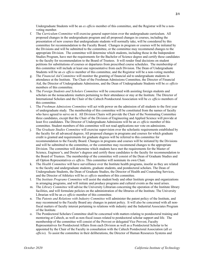Undergraduate Students will be an *ex officio* member of this committee, and the Registrar will be a nonvoting member.

- f. The *Curriculum Committee* will exercise general supervision over the undergraduate curriculum. All proposed changes in the undergraduate program and all proposed changes in courses, including the presentation of new courses that undergraduate students will normally take, will be considered by this committee for recommendation to the Faculty Board. Changes in program or courses will be initiated by the Divisions and will be submitted to the committee, or the committee may recommend changes to the appropriate Division. The committee will determine which students, including those in the Independent Studies Program, have met the requirements for the Bachelor of Science degree and certify these candidates to the faculty for recommendation to the Board of Trustees. It will render final decisions on student petitions for substitutions of courses or departures from prescribed course schedules. The membership of this committee will include at least one representative from each Division. The Dean of Undergraduate Students will be an *ex officio* member of this committee, and the Registrar will be a non-voting member.
- g. The *Financial Aid Committee* will monitor the granting of financial aid to undergraduate students in attendance at the Institute. The Chair of the Freshman Admissions Committee, the Director of Financial Aid, the Director of Undergraduate Admissions, and the Dean of Undergraduate Students will be *ex officio* members of this committee.
- h. The *Foreign Students and Scholars Committee* will be concerned with assisting foreign students and scholars on the nonacademic matters pertaining to their attendance or stay at the Institute. The Director of International Scholars and the Chair of the Caltech Postdoctoral Association will be *ex officio* members of this committee.
- i. The *Freshman Admissions Committee* will act with power on the admission of all students to the first year of undergraduate study. The membership of this committee will be constituted from the names of faculty who have agreed to serve on it. All Division Chairs will provide the Chair of the Nominating Committee three candidates, except that the Chair of the Division of Engineering and Applied Science will provide at least five candidates. The Director of Undergraduate Admissions will be an *ex officio* member of this committee. Student members of this committee will not read applications nor vote on admissions.
- j. The *Graduate Studies Committee* will exercise supervision over the scholastic requirements established by the faculty for all advanced degrees. All proposed changes in programs and courses for which graduate credit is granted and requirements for graduate degrees will be referred to this committee for recommendation to the Faculty Board. Changes in programs and courses will be initiated by the Divisions and will be submitted to the committee, or the committee may recommend changes to the appropriate Division. The committee will determine which students have met the requirements for the Master of Science, Engineer's, and Doctor's degrees and certify these candidates to the faculty for recommendation to the Board of Trustees. The membership of the committee will consist of the Dean of Graduate Studies and all Option Representatives *ex officio*. This committee will nominate its own Chair.
- k. The *Health Committee* will have surveillance over the Institute health programs, insofar as they are related to the faculty and undergraduate students, graduate students, and postdoctoral scholars. The Dean of Undergraduate Students, the Dean of Graduate Studies, the Director of Health and Counseling Services, and the Director of Athletics will be *ex officio* members of this committee.
- l. The *Institute Programs Committee* will assist the student body and other Institute groups and organizations in arranging programs, and will initiate and produce programs and cultural events as the need arises.
- m. The *Library Committee* will advise the University Librarian concerning the operation of the Institute library facilities, and will formulate policies on the administration of the libraries of the Institute. The University Librarian will be an *ex officio* member of this committee.
- n. The *Patents and Relations with Industry Committee* will administer the patent policy of the Institute, and may recommend to the Faculty Board any changes in patent policy. It will also be concerned with all nonfiscal matters of faculty interest pertaining to relations with industry and the Industrial Associates Program of the Institute.
- o. The Postdoctoral Scholars Committee shall be concerned with matters relating to postdoctoral training and mentoring at Caltech, as well as non-fiscal issues related to postdoctoral scholar support and life. The membership of the committee will consist of the Provost or delegated Vice Provost, Faculty Representatives for Postdoctoral Affairs from each Division as well as a Postdoctoral Scholar to be appointed by the Chair of the Faculty in consultation with the Caltech Postdoctoral Association (all *ex officio*). To assist the committee in their deliberations, the Director of Human Resources Systems and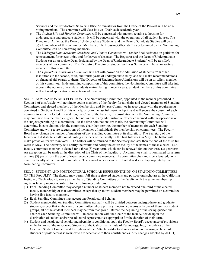Services and the Postdoctoral Scholars Office Administrator from the Office of the Provost will be nonvoting members. The committee will elect its own Chair each academic year.

- p. The *Student Life and Housing Committee* will be concerned with matters relating to housing for undergraduate and graduate students. It will be concerned with the operations of all student houses. The Director of Athletics, the Dean of Undergraduate Students, and the Dean of Graduate Studies will be *ex officio* members of this committee. Members of the Housing Office staff, as determined by the Nominating Committee, can be non-voting members.
- q. The *Undergraduate Academic Standards and Honors Committee* will render final decisions on petitions for reinstatement, for excess units, and for leaves of absence. The Registrar and the Dean of Undergraduate Students (or an Associate Dean designated by the Dean of Undergraduate Students) will be *ex officio* members of this committee. The Executive Director of Student Wellness Services will be a non-voting member of this committee.
- r. The *Upperclass Admissions Committee* will act with power on the admission of students from other institutions to the second, third, and fourth years of undergraduate study, and will make recommendations on financial aid awards to them. The Director of Undergraduate Admissions will be an *ex officio* member of this committee. In determining composition of this committee, the Nominating Committee will take into account the options of transfer students matriculating in recent years. Student members of this committee will not read applications nor vote on admissions.

SEC. 8. NOMINATION AND ELECTION. The Nominating Committee, appointed in the manner prescribed in Section 6 of this Article, will nominate voting members of the faculty for all chairs and elected members of Standing Committees and elected members of the Membership and Bylaws Committee in accordance with the requirements contained in Sections 5 and 7 of this Article, prior to the last full week in April, and will secure the consent of each nominee to serve if elected. In addition, the Chair of the Faculty, in consultation with the Nominating Committee, may nominate as a member, *ex officio*, but not as chair, any administrative officer concerned with the operations or the subjects pertaining to a committee. At the time nominations are made, the Nominating Committee will determine, in consultation with the committee chair then serving, the number of members for each Standing Committee and will secure suggestions of the names of individuals for membership on committees. The Faculty Board may change the number of members of any Standing Committee at its discretion. The Secretary of the faculty will distribute a ballot on all voting members of the faculty in the first full week in May. The ballot will make provision for write-in votes. The ballots will be returned to the Secretary not later than the end of the third full week in May. The Secretary will certify the results and notify the entire faculty of the names of those elected. a) A faculty committee member is elected for a three (3) year term, which can be renewed for another three (3) year term. An exception can be made at the discretion of the Chair of the Faculty. b) A committee chair is nominated for a term of three (3) years from the pool of experienced committee members. The committee chair must be a tenured, nonemeritus faculty at the time of nomination. The term of service can be extended as deemed appropriate by the Nominating Committee.

SEC. 9. STUDENT AND POSTDOCTORAL SCHOLAR REPRESENTATION ON STANDING COMMITTEES OF THE FACULTY. The faculty may permit full-time registered students and postdoctoral scholars at the California Institute of Technology to serve as members of Standing Committees of the faculty, with the same membership rights as faculty members, subject to the following conditions:

- (1) Each Standing Committee may accept a number of student members not to exceed one-third of the elected faculty membership of that committee, except that up to two student members may be permitted on a committee having five faculty members.
- (2) Each Standing Committee may accept one Postdoctoral Scholar.
- (3) Student membership on Standing Committees normally will be divided between undergraduate and graduate students, except that in the case of a committee whose primary function concerns only one of these two student groups, all of the student members may be from that group. Before the beginning of the spring quarter, the chair of each Standing Committee will, in consultation with the Chair of the faculty, decide upon the distribution of student and/or postdoctoral representatives appropriate for the duration of their term.
- (4) Student and postdoctoral scholar membership is conditional upon the Faculty Board's acceptance of provisions in the bylaws of the Associated Students of the California Institute of Technology, Inc., the bylaws of the Graduate Student Council, and the bylaws of the Caltech Postdoctoral Association as ensuring a choice of students or postdoctoral scholars who are acceptable to their constituencies. Any changes adopted by ASCIT,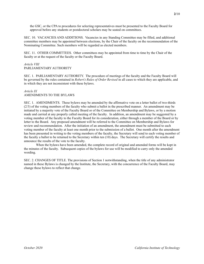the GSC, or the CPA to procedures for selecting representatives must be presented to the Faculty Board for approval before any students or postdoctoral scholars may be seated on committees.

SEC. 10. VACANCIES AND ADDITIONS. Vacancies in any Standing Committee may be filled, and additional committee members may be appointed between elections, by the Chair of the faculty on the recommendation of the Nominating Committee. Such members will be regarded as elected members.

SEC. 11. OTHER COMMITTEES. Other committees may be appointed from time to time by the Chair of the faculty or at the request of the faculty or the Faculty Board.

# *Article VIII* PARLIAMENTARY AUTHORITY

SEC. 1. PARLIAMENTARY AUTHORITY. The procedure of meetings of the faculty and the Faculty Board will be governed by the rules contained in *Robert's Rules of Order Revised* in all cases to which they are applicable, and in which they are not inconsistent with these bylaws.

# *Article IX* AMENDMENTS TO THE BYLAWS

SEC. 1. AMENDMENTS. These bylaws may be amended by the affirmative vote on a letter ballot of two-thirds (2/3) of the voting members of the faculty who submit a ballot in the prescribed manner. An amendment may be initiated by a majority vote of the Faculty Board or of the Committee on Membership and Bylaws, or by a motion made and carried at any properly called meeting of the faculty. In addition, an amendment may be suggested by a voting member of the faculty to the Faculty Board for its consideration, either through a member of the Board or by letter to the Board. Any proposed amendment will be referred to the Committee on Membership and Bylaws for review and recommendation. After the initiation of an amendment, the amendment must be submitted to each voting member of the faculty at least one month prior to the submission of a ballot. One month after the amendment has been presented in writing to the voting members of the faculty, the Secretary will send to each voting member of the faculty a ballot to be returned to the Secretary within ten (10) days. The Secretary will certify the results and announce the results of the vote to the faculty.

When the bylaws have been amended, the complete record of original and amended forms will be kept in the minutes of the faculty. Subsequent copies of the bylaws for use will be modified to carry only the amended wording.

SEC. 2. CHANGES OF TITLE. The provisions of Section 1 notwithstanding, when the title of any administrator named in these Bylaws is changed by the Institute, the Secretary, with the concurrence of the Faculty Board, may change these bylaws to reflect that change.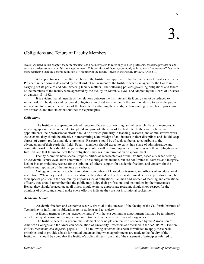# Obligations and Tenure of Faculty Members

(Note: As used in this chapter, the term "faculty" shall be interpreted to refer only to such professors, associate professors, and assistant professors as are on full-time appointment. This definition of faculty, commonly referred to as "tenure-track" faculty, is more restrictive than the general definition of "Member of the faculty" given in the Faculty Bylaws, Article III.)

All appointments of faculty members of the Institute are approved either by the Board of Trustees or by the President under powers delegated by the Board. The President of the Institute acts as an agent for the Board in carrying out its policies and administering faculty matters. The following policies governing obligations and tenure of the members of the faculty were approved by the faculty on March 9, 1981, and adopted by the Board of Trustees on January 11, 1982.

It is evident that all aspects of the relations between the Institute and its faculty cannot be reduced to written rules. The duties and reciprocal obligations involved are inherent in the common desire to serve the public interest and to promote the welfare of the Institute. In attaining these ends, certain guiding principles of procedure are desirable, and this statement outlines these principles.

# *Obligations*

The Institute is prepared to defend freedom of speech, of teaching, and of research. Faculty members, in accepting appointments, undertake to uphold and promote the aims of the Institute. If they are on full-time appointments, their professional efforts should be directed primarily to teaching, research, and administrative work. As teachers, they should be effective in transmitting a knowledge of and interest in their disciplines and should keep abreast of current professional developments. Research should be of such caliber as to contribute to the advancement of their particular field. Faculty members should expect to carry their share of administrative and committee work. They should recognize that promotion will be based upon the extent to which these obligations are fulfilled, and that failure to meet these obligations may result in termination of appointment.

Faculty Members have special responsibilities as representatives of the Institute, especially when serving on Academic Tenure evaluation committees. These obligations include, but are not limited to, fairness and integrity, lack of bias or prejudice, respect for the opinions of others, support for academic freedom, and concern for the welfare and reputation of the Institute as a whole.

College or university teachers are citizens, members of learned professions, and officers of an educational institution. When they speak or write as citizens, they should be free from institutional censorship or discipline, but their special position in the community imposes special obligations. As men and women of learning and educational officers, they should remember that the public may judge their professions and institutions by their utterances. Hence, they should be accurate at all times, should exercise appropriate restraint, should show respect for the opinions of others, and should make every effort to indicate they are not institutional spokesmen.

# *Academic Tenure*

Academic freedom and economic security are vital to the success of the faculty of the California Institute of Technology in fulfilling its obligations to its students and to society.

A faculty member having "academic tenure" will have a continuous appointment that may be terminated only for adequate cause, or through voluntary retirement, or because of financial exigencies.

The Institute accepts in general the statement of principles on tenure as endorsed by the Association of American Colleges and the American Association of University Professors as described in the AAUP 1990 Edition, *Policy Documents and Reports*, pages 3-10. The following statement has been formulated to apply these basic principles and to provide a basis for mutual understanding when appointments are made to the faculty of the Institute. It should be noted that the Institute's policy differs from that of the statement of principles referred to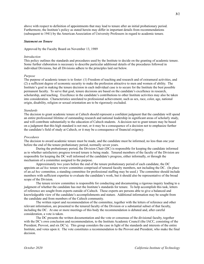above with respect to definition of appointments that may lead to tenure after an initial probationary period. Furthermore, the Institute's policy as stated herein may differ in important details from recommendations (subsequent to 1941) by the American Association of University Professors in regard to academic tenure.

# *Statement on Tenure*

Approved by the Faculty Board on November 13, 1989

# *Introduction*

This policy outlines the standards and procedures used by the Institute to decide on the granting of academic tenure. Some further elaboration is necessary to describe particular additional details of the procedures followed in individual Divisions, but all Divisions adhere to the principles laid out below.

### *Purpose*

The purpose of academic tenure is to foster: (1) Freedom of teaching and research and of extramural activities, and (2) a sufficient degree of economic security to make the profession attractive to men and women of ability. The Institute's goal in making the tenure decision in each individual case is to secure for the Institute the best possible permanent faculty. To serve that goal, tenure decisions are based on the candidate's excellence in research, scholarship, and teaching. Excellence in the candidate's contributions to other Institute activities may also be taken into consideration. Characteristics unrelated to professional achievement, such as sex, race, color, age, national origin, disability, religion or sexual orientation are to be rigorously excluded.

# *Standards*

The decision to grant academic tenure at Caltech should represent a confident judgment that the candidate will spend an entire professional lifetime of outstanding research and national leadership in significant areas of scholarly study, and will contribute substantially to the education of Caltech students. A decision not to grant tenure may be based on a judgment that this high standard is not met, or it may be a consequence of a decision not to emphasize further the candidate's field of study at Caltech, or it may be a consequence of financial exigency.

# *Procedures*

The decision to award academic tenure must be made, and the candidate must be informed, no less than one year before the end of the tenure probationary period, normally seven years.

During the probationary period, the Division Chair (DC) is responsible for keeping the candidate informed as to whether satisfactory progress toward tenure is being made. Tenured members of the faculty of the Division are responsible for keeping the DC well informed of the candidate's progress, either informally, or through the mechanism of a committee assigned to the purpose.

Approximately two years before the end of the tenure probationary period of each candidate, the DC appoints an *ad hoc* tenure review committee comprised of tenured faculty members, not including the DC. (In place of an *ad hoc* committee, a standing committee for professional staffing may be used.) The committee should include members with sufficient expertise to evaluate the candidate's work, but it should also be representative of the broad scope of the Division.

The tenure review committee is responsible for conducting and documenting a rigorous inquiry leading to a judgment of whether the candidate has met the Institute's standards for tenure. To help accomplish this task, letters of reference are sought from experts outside of Caltech. These experts are persons able to give a balanced and knowledgeable view of the candidate's accomplishments and stature. Additional information may be sought from the candidate and from members of the Caltech community.

The written report and recommendation of the committee, together with the letters of reference and other relevant information, are presented to the tenured faculty of the Division or a substantial subset of that faculty, including the DC. At one or more meetings of this body the recommendation is debated and, after careful consideration, a vote is taken.

The DC presents the written documentation and the vote or consensus of the divisional faculty, together with the DC's own conclusion and recommendation, to the Institute Academic Council (the IACC, consisting of the President, Provost, and six DC's). This group considers the case in light of the standards and interests of the entire Institute, and votes upon it. The vote constitutes a recommendation to the Provost and President, who make the final decision.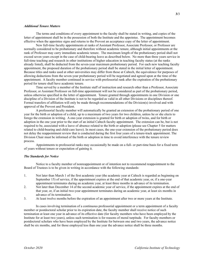# *Additional Tenure Matters*

The terms and conditions of every appointment to the faculty shall be stated in writing, and copies of the letter of appointment shall be in the possession of both the Institute and the appointee. The appointment becomes effective when the appointee signs and returns to the Provost an acceptance copy of the letter of appointment.

New full-time faculty appointments at ranks of Assistant Professor, Associate Professor, or Professor are normally considered to be probationary and therefore without academic tenure, although initial appointments at the rank of Professor may carry immediate academic tenure. The maximum length of the probationary period shall not exceed seven years except in the case of child-bearing leave as described below. No more than three years service in full-time teaching and research in other institutions of higher education in teaching faculty status (at the ranks already listed), shall be deducted from the seven-year maximum probationary period. For each new teaching faculty appointment, the proposed duration of the probationary period shall be stated in the initial letter of appointment. Because titles and ranks used at other universities may differ from those at Caltech, the equivalence for purposes of allowing deductions from the seven-year probationary period will be negotiated and agreed upon at the time of the appointment. A faculty member continued in service with professorial rank after the expiration of the probationary period for tenure shall have academic tenure.

Time served by a member of the Institute staff of instruction and research other than a Professor, Associate Professor, or Assistant Professor on full-time appointment will not be considered as part of the probationary period, unless otherwise specified in the letter of appointment. Tenure granted through appointments in one Division or one discipline of a Division of the Institute is not to be regarded as valid in all other Divisions or disciplines thereof. Formal transfers of affiliation will only be made through recommendations of the Division(s) involved and with approval of the Provost and President.

A professorial faculty member will automatically be granted an extension of the probationary period of one year for the birth or adoption of a child, up to a maximum of two years for two children, unless he or she elects to forego the extension in writing. A one-year extension is granted for birth or adoption of twins, and for birth or adoption in the one year prior to the start of an initial Caltech faculty appointment. The extension can be, but is not required to be, associated with a leave of absence related to the birth or adoption (please see Chapter 5 for matters related to child-bearing and child-care leave). In most cases, the one-year extension of the probationary period does not delay the reappointment review that is conducted during the first four years of a tenure-track appointment. The Division Chair must be informed of the birth or adoption in time to avoid interference with the tenure review process.

Appointments to professorial ranks may occasionally be made on a full- or part-time basis for a fixed term of years without tenure or expectation of gaining it.

# *The Standards for Notice*

Notice to a faculty member of nonreappointment or of intention not to recommend reappointment to the Board of Trustees is to be given in writing in accordance with the following standards:

- 1. Not later than March 1 of the first academic year (the academic year at Caltech is regarded as beginning on September 15) of service, if the appointment expires at the end of that academic year, or, if a one-year appointment terminates during an academic year, at least three months in advance of its termination.
- 2. Not later than December 14 of the second academic year of service, if the appointment expires at the end of that year, or, if an initial two-year appointment terminates during an academic year, at least six months in advance of its termination.
- 3. At least twelve months before the expiration of an appointment after two or more years at the Institute.

In cases involving termination of a continuous professorial appointment or a term appointment of a faculty member or postdoctoral scholar prior to its expiration date, the faculty member shall receive notice of such termination at least one year in advance of its effective date (for faculty members who have been employed by the Institute for at least two years), unless such termination is for reasons of moral turpitude. For faculty members or postdoctoral scholars who have been employed by the Institute for between one and two years, the advance notice shall be six months, and for those employed less than one year the advance notice shall be three months.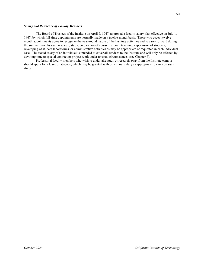# *Salary and Residence of Faculty Members*

The Board of Trustees of the Institute on April 7, 1947, approved a faculty salary plan effective on July 1, 1947, by which full-time appointments are normally made on a twelve-month basis. Those who accept twelvemonth appointments agree to recognize the year-round nature of the Institute activities and to carry forward during the summer months such research, study, preparation of course material, teaching, supervision of students, revamping of student laboratories, or administrative activities as may be appropriate or requested in each individual case. The stated salary of an individual is intended to cover all services to the Institute and will only be affected by devoting time to special contract or project work under unusual circumstances (see Chapter 7).

Professorial faculty members who wish to undertake study or research away from the Institute campus should apply for a leave of absence, which may be granted with or without salary as appropriate to carry on such study.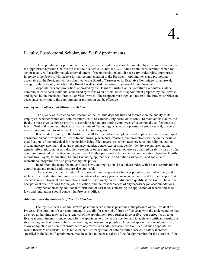# Faculty, Postdoctoral Scholar, and Staff Appointments

The appointment or promotion of a faculty member will, in general, be initiated by a recommendation from the appropriate Division Chair to the Institute Academic Council (IACC). After careful consideration, which for senior faculty will usually include external letters of recommendation and, if necessary or desirable, appropriate interviews, the Provost will make a formal recommendation to the President. Appointments and promotions acceptable to the President will be submitted to the Board of Trustees or its Executive Committee for approval, except for those faculty for whom the Board has delegated the power of approval to the President.

Appointments and promotions approved by the Board of Trustees or its Executive Committee shall be communicated to each individual concerned by means of an official letter of appointment prepared by the Provost and signed by the President, Provost, or Vice Provost. The recipient must sign and return to the Provost's Office an acceptance copy before the appointment or promotion can be effective.

# *Employment Policies and Affirmative Action*

The quality of instruction and research at the Institute depends first and foremost on the quality of its employees whether professors, administrators, staff, researchers, engineers, or artisans. To maintain its stature, the Institute must give its highest priority to searching for and promoting employees of exceptional qualifications at all levels. Within this context, the California Institute of Technology is an equal opportunity employer and, in every respect, is committed to an active Affirmative Action Program.

It is the stated policy of the Institute that all faculty and staff employees and applicants shall receive equal consideration and treatment. All recruitment, hiring, placements, transfers, and promotions will be on the basis of qualifications of the individual for the position being filled regardless of sex, race, creed, color, religion, national origin, ancestry, age, marital status, pregnancy, gender, gender expression, gender identity, sexual orientation, genetic information, status as a disabled veteran, or other eligible veteran, otherwise qualified disability, or any other condition protected by the state and federal law. All other personnel actions such as compensation, benefits, layoffs, returns from layoff, termination, training (including apprenticeship and tuition assistance), and social and recreational programs are also governed by this policy.

In addition, the many federal and state laws, and regulations issued thereunder, which bar discrimination in employment and related activities, are also applicable.

The objective of the Institute's Affirmative Action Program is wherever possible to recruit actively and include for consideration for employment members of minority groups, women, veterans, and the handicapped. All decisions on employment and promotions must be made solely on the individual's qualifications (merit), bona fide occupational qualifications for the job in question, and the reasonableness of any necessary job accommodations.

Any person needing additional information or assistance concerning the application of federal and state laws and regulations should contact the Provost's Office.

# *Administrative Appointments of Faculty Members*

Faculty members in administrative positions serve in those positions at the pleasure of the President or Provost. The duration of such appointments is usually for a period of three or five years with the understanding that a review at that time may lead to a renewal of the appointment for a further three or five-year period. A three or five-year commitment is long enough for the appointee to grow to the position and to achieve significant results but short enough so that return to full-time teaching and research is possible. A second appointment would normally allow completion of a comprehensive set of objectives in an administrative position. A third such appointment would therefore be unusual, but is not excluded. In recognition of administrative service, a salary increment, specified in the letter of appointment, may be added to the base salary of the faculty member for the duration of the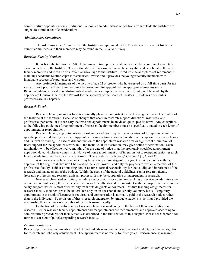administrative appointment only. Individuals appointed to administrative positions from outside the Institute are subject to a similar set of considerations.

# *Administrative Committees*

The Administrative Committees of the Institute are appointed by the President or Provost. A list of the current committees and their members may be found in the *Caltech Catalog*.

# *Emeritus Faculty Members*

It has been the tradition at Caltech that many retired professorial faculty members continue to maintain close contacts with the Institute. The continuation of this association can be enjoyable and beneficial to the retired faculty members and it can be of substantial advantage to the Institute. It reduces the abruptness of retirement; it maintains academic relationships; it fosters useful work; and it provides the younger faculty members with invaluable sources of experience and wisdom.

Any professorial members of the faculty of age 62 or greater who have served on a full-time basis for ten years or more prior to their retirement may be considered for appointment to appropriate emeritus status. Recommendations, based upon distinguished academic accomplishments at the Institute, will be made by the appropriate Division Chair to the Provost for the approval of the Board of Trustees. Privileges of emeritus professors are in Chapter 5.

# *Research Faculty*

Research faculty members have traditionally played an important role in keeping the research activities of the Institute at the forefront. Because of changes that occur in research support, directions, resources, and professorial personnel, it is necessary that research appointments be made on quite specific terms. Any exceptions to the following guidelines for appointment of research faculty members must be specifically stated in each letter of appointment or reappointment.

Research faculty appointments are non-tenure-track and require the association of the appointee with a specific professorial faculty member. Appointments are contingent on continuation of the appointee's research area and its level of funding. In case of discontinuation of the appointee's research area or significant diminution of fiscal support for the appointee's work in it, the Institute, at its discretion, may give notice of termination. Such termination will be effective twelve months after the date of notice or at the previously specified appointment expiration date, whichever comes first. Notice of nonreappointment or of intention not to reappoint senior research faculty made for other reasons shall conform to "The Standards for Notice," Chapter 3 (1, 2, and 3).

A senior research faculty member may be a principal investigator on a grant or contract only with the approval of the cognizant Division Chair and of the Vice Provost, and only for projects for which a member of the professorial faculty is either co-investigator, or assumes formal responsibility for the validity and importance of the research and management of the budget. Within the scope of the general guidelines, senior research faculty (research professors and research assistant professors) may be cooperative or independent in research.

Nonresearch-related activities, including any occasional or voluntary teaching or service on administrative or faculty committees by the members of the research faculty, should be consistent with the purpose of the source of salary support, which is most often wholly from outside grants or contracts. Institute teaching assignments for research faculty members are to be undertaken only on an occasional and strictly voluntary basis. Temporary appointment to the rank of Lecturer is required, and compensation is normally paid to the research budget rather than to the individual. Supervision of thesis research undertaken by graduate students is permitted provided the responsible thesis advisor is a member of the professorial faculty.

Evaluation of the performance of research faculty is made only on the basis of their contributions to research. Senior research faculty appointments and reappointments are recommended and approved according to administrative procedures for faculty status as described in the first section of this chapter. Please see Chapter 8 for further discussion of policies regarding research faculty.

# *Research Professors*

Research professor appointments are made to individuals who have achieved national and international recognition for research and scholarly achievement. The appointment is normally for three years. Performance as research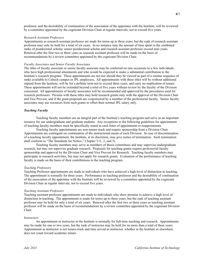professor, and the desirability of continuation of the association of the appointee with the Institute, will be reviewed by a committee appointed by the cognizant Division Chair at regular intervals, not to exceed five years.

# *Research Assistant Professors*

Appointments as research assistant professor are made for terms up to three years, but the rank of research assistant professor may only be held for a total of six years. In no instance may the amount of time spent in the combined ranks of postdoctoral scholar, senior postdoctoral scholar and research assistant professor exceed nine years. Renewal after the first two or three years as research assistant professor will be made on the basis of recommendations by a review committee appointed by the cognizant Division Chair.

## *Faculty Associates and Senior Faculty Associates*

The titles of faculty associate or senior faculty associate may be conferred on rare occasions to a few individuals who have high professional attainments and who would be expected to make a substantial contribution to the Institute's research program. These appointments are not nor should they be viewed as part of a routine sequence of ranks available to Caltech campus or JPL employees. All appointments with these titles will be without additional stipend from the Institute, will be for a definite term not to exceed three years, and carry no implication of tenure. These appointments will not be extended beyond a total of five years without review by the faculty of the Division concerned. All appointments of faculty associates will be recommended and approved by the procedures used for research professors. Persons with these titles may hold research grants only with the approval of the Division Chair and Vice Provost, and if the grant proposals are cosponsored by a member of the professorial faculty. Senior faculty associates may use resources from such grants to offset their normal JPL salary only.

# *Teaching Faculty*

Teaching faculty members are an integral part of the Institute's teaching program and serve as an important resource for our undergraduate and graduate students. Any exceptions to the following guidelines for appointment of teaching faculty members must be specifically stated in each letter of appointment or reappointment.

Teaching faculty appointments are non-tenure-track and require sponsorship from a Division Chair. Appointments are contingent on continuation of the instructional needs of each Division. In case of discontinuation of a teaching faculty appointment, the Institute, at its discretion, may give notice of termination. Such termination shall conform to "The Standards for Notice," Chapter 3 (1, 2, and 3).

Teaching faculty members may serve as members of thesis committees and may supervise undergraduate research, but may not supervise graduate research. Proposals for teaching grants require professorial faculty sponsorship and approval by the Division Chair and Vice Provost for Research. Teaching faculty members may participate in research activities, but may not apply for research grants. Evaluation of the performance of teaching faculty is made on the basis of their contributions to the teaching program.

### *Teaching Professors*

Teaching Professor appointments are made to individuals who have achieved a high level of distinction in teaching. The appointment is normally for three years. Performance as teaching professor and the desirability of continuation of the association of the appointee with the Institute will be reviewed by a committee appointed by the cognizant Division Chair at regular intervals, not to exceed five years.

### *Teaching Assistant Professors*

Teaching assistant professor appointments are made to individuals who show promise to achieve a high level of distinction in teaching. The appointment is made for terms up to three years, but the rank of teaching assistant professor may be held for only a total of six years. Renewal after the first two or three years as teaching assistant professor will be made on the basis of recommendations by a review committee appointed by the cognizant Division Chair.

### *Instructors*

An appointment as instructor at the Institute is normally for full-time teaching and research. Appointments may be made for one or two years, but the rank of instructor may be held for no more than a total of three years. Appointment as instructor is not tenure-track and time served as instructor, whether at the Institute or elsewhere, does not count toward academic tenure.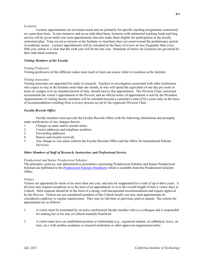# *Lecturers*

Lecturer appointments are not tenure-track and are primarily for specific teaching assignments customarily on a part-time basis. In rare instances and on an individual basis, lecturers with substantial teaching loads and long service will be given multi-year term appointments that also make them eligible for participation in the faculty retirement plan. Time served as lecturer at the Institute or elsewhere does not count toward the probationary period of academic tenure. Lecturer appointments will be extended on the basis of review no less frequently than every fifth year, unless it is clear that the sixth year will be the last year. Standards of notice for Lecturers are governed by their individual contracts.

# *Visiting Members of the Faculty*

# *Visiting Professors*

Visiting professors (of the different ranks) must teach at least one course while in residence at the Institute.

# *Visiting Associates*

Visiting associates are appointed for study or research. Teachers or investigators associated with other institutions who expect to stay at the Institute more than one month, or who will spend the equivalent of one day per week or more on campus over an extended period of time, should receive this appointment. The Division Chair concerned recommends the visitor's appointment to the Provost, and an official notice of appointment is sent by the President. Appointments of visiting faculty members will be extended beyond a cumulative total of five years only on the basis of recommendations resulting from a review process set up by the cognizant Division Chair.

# *Faculty Records Office*

Faculty members must provide the Faculty Records Office with the following information and promptly make notifications of any changes therein.

- 1. Changes in name and/or marital status.
- 2. Correct addresses and telephone numbers.
- 3. Forwarding addresses.
- 4. Honors and awards received.
- 5. Any change in visa status (inform the Faculty Records Office and the Office for International Scholar Services).

# *Other Members of Staff of Research, Instruction, and Professional Service*

# *Postdoctoral and Senior Postdoctoral Scholars*

The principles, policies, and administrative procedures concerning Postdoctoral Scholars and Senior Postdoctoral Scholars are published in the [Postdoctoral Scholars Handbook](http://provost.caltech.edu/documents/12210/Postdoctoral_Scholar_Handbook_Final_2-11-2020.pdf) which is available from the Postdoctoral Scholars Office.

# *Visitors*

Visitors are appointed for terms of no more than one year, and may be reappointed for a total of up to three years. A division may request exceptions as to the term of an appointment or as to the overall length of time a visitor stays at Caltech. Such requests should be in the form of a strong, well-documented recommendation and require approval by the Provost. Visitors are not considered members of the Caltech faculty nor may such appointments be considered a pathway to regular employment. They may be full-time or part-time, paid or unpaid. The criteria for appointment are as follows:

- 1. A visitor must be nominated by an active professorial faculty member who is a colleague and is responsible for making her or his stay at Caltech mutually beneficial.
- 2. A visitor must have an established position or relationship (e.g., registered student, on sabbatical, leave, on loan, etc.) with another academic or research institution or other approved organization/entity.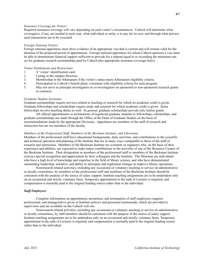# *Insurance Coverage for Visitors*

Required insurance coverage will vary depending on each visitor's circumstances. Caltech will determine what coverage(s), if any, are needed in each case, what individual or entity is to pay for its cost, and through what process such transactions are to be executed.

### *Foreign National Visitors*

Foreign national appointees must show evidence of an appropriate visa that is current and will remain valid for the duration of the proposed period of appointment. Foreign national appointees for whom Caltech sponsors a visa must be able to demonstrate financial support sufficient to provide for a stipend equal to or exceeding the minimum rate set for graduate research assistantships paid by Caltech plus appropriate insurance coverage fee(s).

# *Visitor Entitlements and Restrictions*

- 1. A 'visitor' identification card.
- 2. Listing in the campus directory.
- 3. Membership in the Athenaeum if the visitor's status meets Athenaeum eligibility criteria.
- 4. Participation in Caltech's benefit plans, consistent with eligibility criteria for each program.
- 5. May not serve as principal investigators or co-investigators on sponsored or non-sponsored research grants or contracts.

# *Graduate Student Assistants*

Graduate assistantships require services related to teaching or research for which no academic credit is given. Graduate fellowships and scholarships require study and research for which academic credit is given. Some fellowships involve teaching duties as well. In general, graduate scholarships provide only tuition grants.

All official appointments or terminations of registered graduate students to fellowships, scholarships, and graduate assistantships are made through the Office of the Dean of Graduate Studies on the basis of recommendations made by the appropriate Divisions. Appointees are members of the staff of research and instruction but are not members of the faculty.

### *Members of the Professional Staff, Members of the Beckman Institute, and Librarians*

Members of the professional staff have educational backgrounds, daily activities, and contributions to the scientific and technical operation and planning of the Institute that are in many ways comparable to those of the staff of research and instruction. Members of the Beckman Institute are scientists or engineers who, on the basis of their experience and abilities, are expected to make major contributions to the activities of one of the Resource Centers of the Beckman Institute. Their designation as members of the professional staff or members of the Beckman Institute conveys special recognition and appreciation by their colleagues and the Institute. The librarians are individuals who have a high level of knowledge and expertise in the field of library science, and who have demonstrated outstanding leadership, initiative, and ability to anticipate and implement changes to improve library operations.

Nonresearch-related activities, including any occasional or voluntary teaching or service on administrative or faculty committees, by members of the professional staff and members of the Beckman Institute should be consistent with the purpose of the source of salary support. Institute teaching assignments are to be undertaken only on an occasional and strictly voluntary basis. Temporary appointment to the rank of Lecturer is required, and compensation is normally paid to the original funding source rather than to the individual.

# *Staff Employees*

Complete information on appointment, promotion, and termination of staff employees (support, professional, and managerial) is given in Institute policies and personnel memoranda, which are provided to supervisors and are available on the Caltech web site.

Nonresearch-related activities, including any occasional or voluntary teaching or service on administrative or faculty committees, by staff members should be consistent with the purpose of the source of salary support. Institute teaching assignments are to be undertaken only on an occasional and strictly voluntary basis. Temporary appointment to the rank of Lecturer is required, and compensation is normally paid to the original funding source rather than to the individual.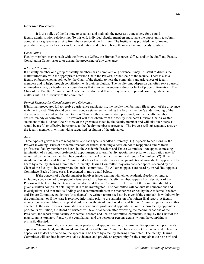# *Grievance Procedures*

It is the policy of the Institute to establish and maintain the necessary atmosphere for a sound faculty/administration relationship. To this end, individual faculty members must have the opportunity to submit complaints or grievances arising from their service at the Institute. The Institute has provided the following procedures to give such cases careful consideration and to try to bring them to a fair and speedy solution.

# *Consultation*

Faculty members may consult with the Provost's Office, the Human Resources Office, and/or the Staff and Faculty Consultation Center prior to or during the processing of any grievance.

# *Informal Procedures*

If a faculty member or a group of faculty members has a complaint or grievance it may be useful to discuss the matter informally with the appropriate Division Chair, the Provost, or the Chair of the faculty. There is also a faculty ombudsperson appointed by the Chair of the faculty to hear the complaints and grievances of faculty members and to help, through conciliation, with their resolution. The faculty ombudsperson can often serve a useful intermediary role, particularly in circumstances that involve misunderstandings or lack of proper information. The Chair of the Faculty Committee on Academic Freedom and Tenure may be able to provide useful guidance in matters within the purview of the committee.

# *Formal Requests for Consideration of a Grievance*

If informal procedures fail to resolve a grievance satisfactorily, the faculty member may file a report of the grievance with the Provost. This should be a clear, concise statement including the faculty member's understanding of the decisions already rendered by the Division Chair or other administrative personnel, and the faculty member's desired remedy or correction. The Provost will then obtain from the faculty member's Division Chair a written statement of the Division Chair's view of the grievance stated by the faculty member and will take such steps as would be useful or effective in response to the faculty member's grievance. The Provost will subsequently answer the faculty member in writing with a suggested resolution of the grievance.

# *Appeals*

Three types of grievances are recognized, and each type is handled differently. (1) Appeals to decisions by the Provost involving issues of academic freedom or tenure, including a decision not to reappoint a tenure-track professorial faculty member, are heard by the Academic Freedom and Tenure Committee. An appeal contesting termination of a continuous professorial appointment or a term faculty appointment prior to its expiration may, if requested by the faculty member, be considered by the Academic Freedom and Tenure Committee. (2) If the Academic Freedom and Tenure Committee declines to consider the case on jurisdictional grounds, the appeal will be heard by a faculty Hearing Committee. A faculty Hearing Committee may also consider appeals deemed by the Chair of the faculty to be appropriate for such a committee. (3) All other appeals are heard by an Ad Hoc Appeals Committee. Each of these cases is presented in more detail below.

If the concern of a faculty member involves issues dealing with either academic freedom or tenure, including a decision not to reappoint a tenure-track professorial faculty member, appeals from decisions of the Provost will be heard by the Academic Freedom and Tenure Committee. The chair of the committee should be given a written complaint detailing what is to be investigated. The committee will conduct its deliberations and investigations, and transmit its findings and recommendations in the manner prescribed by the Academic Freedom and Tenure Committee guidelines (this chapter). A written report need not be given if the complaint is withdrawn by the complainant or if the issue is resolved informally prior to the submission of a written final report. A faculty member considering filing an appeal should review the Academic Freedom and Tenure Committee guidelines in this chapter. If the case involves termination of a continuous professorial appointment, or of a term faculty appointment prior to its expiration, the Board of Trustees will take final action after reviewing the recommendations of the President, the report of the faculty Academic Freedom and Tenure committee, comments, if any, by the Chair of the faculty, and comments, if any, by the complainant and the person or persons against whom the complaint is primarily directed.

Where termination of a continuous professorial appointment, or of a term faculty appointment prior to its expiration, is involved, and the Academic Freedom and Tenure Committee has either not been requested to hear the appeal, or has declined to do so, the appeal will be heard by a faculty Hearing Committee. The faculty Hearing Committee will conduct interviews, take evidence, and provide an opportunity for the complainant to be heard and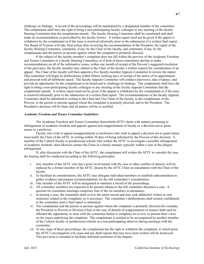challenge its findings. A record of the proceedings will be maintained by a designated member of the committee. The complainant shall have the right to bring a non-participating faculty colleague to any meeting of the faculty Hearing Committee that the complainant attends. The faculty Hearing Committee shall be constituted and shall make its recommendation as prescribed by the faculty bylaws. A written report need not be given if the appeal is withdrawn by the complainant or if the issue is resolved informally prior to the submission of a written final report. The Board of Trustees will take final action after reviewing the recommendation of the President, the report of the faculty Hearing Committee, comments, if any, by the Chair of the faculty, and comments, if any, by the complainants and the person or persons against whom the complaint is primarily directed.

If the subject of the faculty member's complaint does not fall within the purview of the Academic Freedom and Tenure Committee or a faculty Hearing Committee, or if both of those committees decline to make recommendations on all of the substantive issues, within one month of receipt of the Provost's suggested resolution of the grievance, the faculty member may submit to the Chair of the faculty a written request for consideration of an appeal. The Chair of the faculty will then appoint a five faculty-member Appeals Committee to review the matter. This committee will begin its deliberations within fifteen working days of receipt of the notice of its appointment and proceed with all deliberate speed. The faculty Appeals Committee will conduct interviews, take evidence, and provide an opportunity for the complainant to be heard and to challenge its findings. The complainant shall have the right to bring a non-participating faculty colleague to any meeting of the faculty Appeals Committee that the complainant attends. A written report need not be given if the appeal is withdrawn by the complainant or if the issue is resolved informally prior to the submission of a written final report. The recommendations of the faculty Appeals Committee shall be submitted in writing to the Chair and Vice Chair of the faculty, to the complainant, to the Provost, to the person or persons against whom the complaint is primarily directed, and to the President. The President's decision will be final, and all parties will be so notified.

# *Academic Freedom and Tenure Committee Guidelines*

The Academic Freedom and Tenure Committee (henceforth AFTC) deals with matters pertaining to infringement of academic freedom and appeals against non-reappointment of faculty or a decision not to grant tenure to a professor.

Faculty who wish to appeal nonappointment or professors who wish to appeal a decision not to grant tenure must notify the Chair of the AFTC in writing within 30 days of being informed by the Provost of this decision. A member of the Caltech faculty or postdoctoral scholar who wishes the AFTC to investigate a possible infringement of academic freedom, must likewise contact the Chair in a timely manner, typically within a year of the alleged infringement.

If, after discussion with the Chair of the AFTC, the complainant still wishes the AFTC to consider the case, the hearing shall be conducted according to the following principles:

- i. Any member of the AFTC who has a prior involvement with the case or other conflict of interest, will be replaced by a former member of the AFTC chosen by the AFTC Chair in consultation with the Chair of the faculty.
- ii. To facilitate its considerations, the AFTC may delegate individual members or establish subcommittees to gather evidence and prepare recommendations for the full committee's consideration.
- iii. One member of the AFTC will be designated to maintain a record of the proceedings.
- iv. All committee members are expected to be present whenever the full committee discusses a case. A quorum for committee meetings comprises four of the six members in attendance.
- v. In hearing a case, the committee shall review the entire record and may seek additional written or oral testimony related to the complaint, as is necessary. The committee's deliberations shall remain confidential to the committee until a final report is submitted.
- vi. The complainant and the person or persons against whom the complaint is primarily directed (for example, the President or Provost or Division Chair in the case of denials of reappointment or tenure) shall each be afforded the opportunity to meet with the committee before it completes its review, to present their views on the issues underlying the complaint. The complainant is entitled to be accompanied by another member of the Caltech faculty or postdoctoral scholar as a non-participating observer during meetings with the committee.
- vii. At any stage of these proceedings, the complainant has the right to withdraw the complaint, at which point the AFTC's investigation will cease and any draft reports that may have been written will be destroyed. This provision is intended to facilitate informal resolution of the dispute.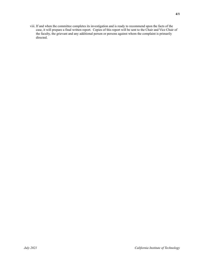viii. If and when the committee completes its investigation and is ready to recommend upon the facts of the case, it will prepare a final written report. Copies of this report will be sent to the Chair and Vice Chair of the faculty, the grievant and any additional person or persons against whom the complaint is primarily directed.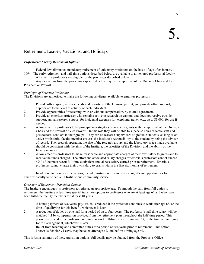# Retirement, Leaves, Vacations, and Holidays

# *Professorial Faculty Retirement Options*

Federal law eliminated mandatory retirement of university professors on the basis of age after January 1, 1994. The early retirement and half-time options described below are available to all tenured professorial faculty.

All emeritus professors are eligible for the privileges described below.

Any deviations from the procedures specified below require the approval of the Division Chair and the President or Provost.

# *Privileges of Emeritus Professors*

The Divisions are authorized to make the following privileges available to emeritus professors:

- 1. Provide office space, as space needs and priorities of the Division permit, and provide office support, appropriate to the level of activity of each individual.
- 2. Provide opportunities for teaching, with or without compensation, by mutual agreement.
- 3. Provide an emeritus professor who remains active in research on campus and does not receive outside support, annual research support for incidental expenses for telephone, travel, etc., up to \$3,000, for use if needed.
- 4. Allow emeritus professors to be principal investigators on research grants with the approval of the Division Chair and the Provost or Vice Provost. In this role they will be able to supervise non-academic staff and postdoctoral scholars in their groups. They can be research supervisors of graduate students, as long as an active professorial faculty member ensures the Institute's responsibility to the student by being the advisor of record. The research operation, the size of the research group, and the laboratory space made available should be consistent with the aims of the Institute, the priorities of the Division, and the ability of the faculty member.
- 5. Allow emeritus professors to make reasonable and appropriate charges of their own salary to grants and to receive the funds charged. The effort and associated salary charges for emeritus professors cannot exceed 49% of the most recent full-time equivalent annual base salary earned prior to retirement. Emeritus professors cannot charge their own salary to grants within the first six months of retirement.

In addition to these specific actions, the administration tries to provide significant opportunities for emeritus faculty to be active in Institute and community service.

# *Overview of Retirement Transition Options*

The Institute encourages its professors to retire at an appropriate age. To smooth the path from full duties to retirement, the Institute offers three special transition options to professors who are at least age 62 and who have been full-time faculty members for at least 10 years.

- 1. A bonus payment of two years' pay, which is reduced if the professor continues to work after age 68, or the time of qualifying for this benefit, whichever is later.
- 2. A reduction of duties by one half for a period of up to four years. The professor's half-time salary will be matched 1:1 by compensation provided from the retirement plan throughout the half-time period. This period is reduced if the professor continues to work full-time after turning age 68, or the time of qualifying for this arrangement, whichever is later.
- 3. Relief from teaching and committee duties for a period of two years prior to retirement. This option, known as Scholarly Leave, may be taken after age 62, and before turning age 69.

This is just a summary of these transition options, full details may be obtained from the Provost's Office.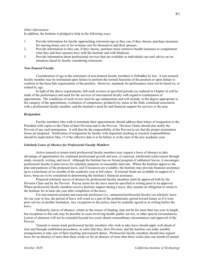# *Other Information*

In addition, the Institute is pledged to help in the following ways:

- 1. Provide information for faculty approaching retirement age so they can, if they choose, purchase insurance for nursing-home care or for in-home care for themselves and their spouses.
- 2. Provide information so they can, if they choose, purchase more extensive health insurance to complement what they and their spouses have with the Institute and with Medicare.
- 3. Provide information about professional services that are available so individuals can seek advice on tax situations faced by faculty considering retirement.

# *Non-Tenured Faculty*

Consideration of age in the retirement of non-tenured faculty members is forbidden by law. A non-tenured faculty member may be terminated upon failure to perform the normal functions of the position or upon failure to conform to the bona fide requirements of the position. However, standards for performance must not be based on, or related to, age.

In light of the above requirements, full-scale reviews at specified periods (as outlined in Chapter 4) will be made of the performance and need for the services of non-tenured faculty with regard to continuation of appointment. The conditions of each review must be age-independent and will include, to the degree appropriate to the category of the appointment, evaluation of competence, productivity, status in the field, continued association with a professorial faculty member, and the Institute's need for and financial support for services in the area.

# *Resignation*

Faculty members who wish to terminate their appointments should address their letters of resignation to the President with copies to the Chair of their Division and to the Provost. Division Chairs should also notify the Provost of any such termination. It will then be the responsibility of the Provost to see that the proper termination forms are prepared. Notification of resignation by faculty with important teaching or research responsibilities should be made before May 15 if the effective date is to be before or at the start of the new academic year.

# *Scholarly Leave of Absence for Professorial Faculty Members*

Active tenured or tenure-track professorial faculty members may request a leave of absence to take advantage of opportunities for continued professional growth and new, or renewed, intellectual achievement through study, research, writing, and travel. Although the Institute has no formal program of sabbatical leaves, it encourages professorial faculty to plan leaves for scholarly purposes at reasonable intervals. Where the Institute approves the plan and purposes of the proposed leave, and if resources are available, the Institute may provide financial assistance up to a maximum of six months of the academic year at full salary. If external funds are available in support of a leave, these are to be considered in determining the Institute's financial assistance.

Proposed scholarly leaves of absence by professorial faculty members must be approved both by the Division Chair and by the Provost. Precise terms for the leave must be specified in writing prior to its approval. Where professorial faculty members receive Institute support during a leave, they assume an obligation to return to the Institute for at least one year after completion of the leave.

For non-tenured assistant and associate professors (i.e., untenured professorial faculty) on scholarly leave for one year or less, the period of leave will count as a part of the probationary period toward tenure as if it were prior service at another institution. Any exceptions to this policy must be mutually agreed to in writing before the leave.

Ordinarily, leaves of absence, whatever the source of funding, may not be for more than one year in length, but exceptions to this rule may be possible in cases involving health, public service, or other special circumstances. Leaves of absences will not be extended beyond two years absent extraordinary circumstances and approval of the Provost.

Tenured or tenure-track professorial faculty members who wish to take leave should apply well ahead of time and through established procedures, in order that they, their Division, and the Institute can make suitable arrangements to take care of their teaching and research duties. Professorial faculty members should also request leave for an absence of more than three weeks or for an absence of more than three weeks plus one month (if annual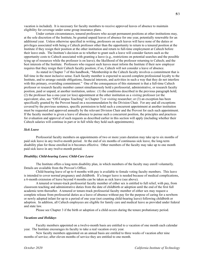vacation is included). It is necessary for faculty members to receive approved leaves of absence to maintain eligibility for coverage under some group insurance plans.

Under certain circumstances, tenured professors who accept permanent positions at other institutions may, at the sole discretion of the Institute, be granted unpaid leaves of absence for one year, potentially renewable for an additional year. Unless otherwise specified in writing, professors on such leaves will have none of the duties or privileges associated with being a Caltech professor other than the opportunity to return to a tenured position at the Institute if they resign their position at the other institution and return to full-time employment at Caltech before their leave ends. The Institute's decision as to whether to grant such a leave will consider factors such as the opportunity costs to Caltech associated with granting a leave (e.g., restrictions on potential searches and the possible tying up of resources while the professor is on leave); the likelihood of the professor returning to Caltech; and the best interests of the Institute. Professors who request such leaves must inform the Institute if their new employer requires that they resign their Caltech faculty position; if so, Caltech will not consider a leave of absence.

As stated in Chapter 7 of this handbook, "Membership in the Caltech faculty involves a commitment that is full time in the most inclusive sense. Each faculty member is expected to accord complete professional loyalty to the Institute, and to arrange outside obligations, financial interests, and activities in such a way that they do not interfere with this primary, overriding commitment." One of the consequences of this statement is that a full-time Caltech professor or research faculty member cannot simultaneously hold a professorial, administrative, or research faculty position, paid or unpaid, at another institution, unless: (1) the conditions described in the previous paragraph hold; (2) the professor has a one-year (or less) appointment at the other institution as a *visiting* professor (or the equivalent; also, see "Off-Campus Teaching" in Chapter 7) or *visiting* researcher; or (3) an exception has been specifically granted by the Provost based on a recommendation by the Division Chair. For any and all exceptions covered by the previous sentence, specific permission to hold such a concurrent appointment at another institution must be requested and approved annually by the relevant Division Chair and the Provost for each such appointment. If the faculty member is given a leave of absence to pursue such a concurrent position, the principles and practices for evaluation and approval of such requests as described earlier in this section will apply (including whether their Caltech salaries will continue in part or in full while they hold such appointments).

# *Sick Leave*

Professorial faculty members on appointments of two or more years duration may take up to six months of paid sick leave in any twelve-month period. At the end of six months of continuous sick leave, the long-term disability plan for those enrolled in it becomes effective. Other members of the faculty may take up to one month paid sick leave in any twelve-month period.

# *Disability; Child-bearing Leave; Child-Care Leave*

The Institute offers a long-term disability plan, in which members of the faculty may enroll voluntarily. Details are available from the Provost's Office.

Child-bearing leave of up to 4 months with pay is available to female voting faculty members. This leave is intended to cover normal pregnancy and childbirth. If a longer leave is needed because of medical complications, a 6-month extension of leave beyond 4 months can be taken as sick leave (see above).

A tenured or tenure-track professorial faculty member of either sex is entitled to full relief, with pay, from classroom teaching and administrative duties from the date of childbirth or adoption until the end of the first full academic term thereafter. A tenured or tenure-track professorial faculty member of either sex may request a complete release from professorial duties as a leave of absence without pay for the purpose of caring for a newborn or newly adopted infant for up to a period of one year (not counting child-bearing leave) following childbirth or adoption. In addition, all Caltech employees are eligible for family care and medical leave as provided under federal and state law.

Please see Chapter 3 if the birth or adoption of a child occurs during the tenure probationary period.

# *Vacations and Holidays*

Faculty members appointed on a twelve-month basis are entitled to a vacation of one month each calendar year. The Institute encourages its faculty to take a real vacation every year.

New faculty members appointed on an annual basis are entitled to three weeks of vacation after nine months of service; after eleven months of service they are entitled to one month.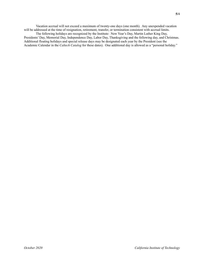Vacation accrual will not exceed a maximum of twenty-one days (one month). Any unexpended vacation will be addressed at the time of resignation, retirement, transfer, or termination consistent with accrual limits.

The following holidays are recognized by the Institute: New Year's Day, Martin Luther King Day, Presidents' Day, Memorial Day, Independence Day, Labor Day, Thanksgiving and the following day, and Christmas. Additional floating holidays and special release days may be designated each year by the President (see the Academic Calendar in the *Caltech Catalog* for these dates). One additional day is allowed as a "personal holiday."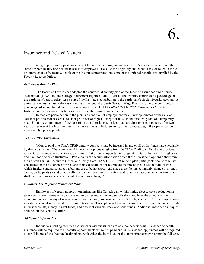# Insurance and Related Matters

All group insurance programs, except the retirement program and a survivor's insurance benefit, are the same for both faculty and benefit-based staff employees. Because the eligibility and benefits associated with these programs change frequently, details of the insurance programs and some of the optional benefits are supplied by the Faculty Records Office.

# *Retirement Annuity Plan*

The Board of Trustees has adopted the contractual annuity plan of the Teachers Insurance and Annuity Association (TIAA) and the College Retirement Equities Fund (CREF). The Institute contributes a percentage of the participant's gross salary less a part of the Institute's contribution to the participant's Social Security account. A participant whose annual salary is in excess of the Social Security Taxable Wage Base is required to contribute a percentage of salary, based on the excess amount. The Booklet *Caltech TIAA-CREF Retirement Plan* details Institute and participant contributions as well as other provisions of the plan.

Immediate participation in the plan is a condition of employment for all new appointees of the rank of assistant professor or research assistant professor or higher, except for those in the first two years of a temporary visa. For all new appointees of the rank of instructor or long-term lecturer, participation is compulsory after two years of service at the Institute. Full-time instructors and lecturers may, if they choose, begin their participation immediately upon appointment.

# *TIAA - CREF Investments*

"Monies paid into TIAA-CREF annuity contracts may be invested in any or all of the funds made available by that organization. There are several investment options ranging from the TIAA Traditional Fund that provides guaranteed income at no risk, to a growth fund, that offers an opportunity for greater returns, but with far higher risk and likelihood of price fluctuation. Participants can secure information about these investment options either from the Caltech Human Resources Office, or directly from TIAA-CREF. Retirement plan participants should take into consideration their tolerance for risk and their expectations for retirement income as they elect the fund(s) into which Institute and personal contributions are to be invested. And since these factors commonly change over one's career, participants should periodically review their premium allocation and retirement account accumulations, and shift them as personal needs and market conditions change."

# *Voluntary Tax-Deferred Retirement Plans*

Employees of certain nonprofit organizations like Caltech can, within limits, elect to take a reduction in salary, pay current taxes only on the remaining after-reduction amount of salary, and have the amount of the reduction invested in any of several tax-deferred annuity/investment plans offered by Caltech. The earnings on such investments are also excluded from current taxation. These plans offer a wide variety of investment options: Fixedinterest accounts, money market funds, and different variable stock and bond funds. Additional information may be obtained in the Benefits Office.

# *Additional Information*

Individuals holding faculty appointments without stipend are on a nonbenefit basis. Evidence of health insurance will be required of all faculty appointments without stipend and, in its absence, appointees will be required to enroll in one of the Institute health plans, with either the individual or the sponsoring agency bearing the full cost.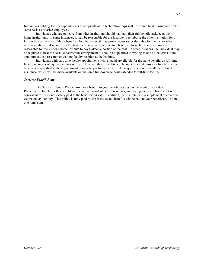Individuals holding faculty appointments as recipients of Caltech fellowships will be offered health insurance on the same basis as salaried employees.

Individuals who are on leave from other institutions should maintain their full benefit package at their home institutions. In some instances, it may be reasonable for the Institute to reimburse the other institution for a fair portion of the cost of those benefits. In other cases, it may prove necessary or desirable for the visitor who receives only partial salary from the Institute to receive some Institute benefits. In such instances, it may be reasonable for the visitor's home institute to pay Caltech a portion of the cost. In other instances, the individual may be required to bear the cost. Whatever the arrangement, it should be specified in writing as one of the terms of the appointment to a research or visiting faculty position at the Institute.

Individuals with part-time faculty appointments with stipend are eligible for the same benefits as full-time faculty members of equivalent rank or title. However, these benefits will be on a prorated basis as a function of the time period specified in the appointment or on salary actually earned. The major exception is health and dental insurance, which will be made available on the same full-coverage basis extended to full-time faculty.

# *Survivor Benefit Policy*

The Survivor Benefit Policy provides a benefit to your beneficiary(ies) in the event of your death. Participants eligible for this benefit are the active President, Vice Presidents, and voting faculty. This benefit is equivalent to six months salary paid to the beneficiary(ies). In addition, the Institute pays a supplement to cover the estimated tax liability. This policy is fully paid by the Institute and benefits will be paid to your beneficiary(ies) in one lump sum.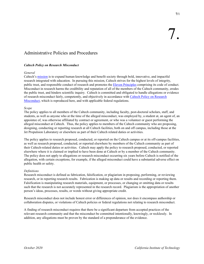# Administrative Policies and Procedures

# *Caltech Policy on Research Misconduct*

# *General*

Caltech's [mission](http://www.caltech.edu/content/mission-priorities) is to expand human knowledge and benefit society through bold, innovative, and impactful research integrated with education. In pursuing this mission, Caltech strives for the highest levels of integrity, public trust, and responsible conduct of research and promotes the **Eleven Principles** comprising its code of conduct. Misconduct in research harms the credibility and reputation of all of the members of the Caltech community, erodes the public trust, and hinders scientific inquiry. Caltech is committed and obligated to handle allegations or evidence of research misconduct fairly, competently, and objectively in accordance with [Caltech Policy on Research](https://researchcompliance.caltech.edu/documents/48-caltech_res_m_policy_2015.pdf)  [Misconduct,](https://researchcompliance.caltech.edu/documents/48-caltech_res_m_policy_2015.pdf) which is reproduced here, and with applicable federal regulations.

# *Scope*

The policy applies to all members of the Caltech community, including faculty, post-doctoral scholars, staff, and students, as well as anyone who at the time of the alleged misconduct, was employed by, a student at, an agent of, an appointee of, was otherwise affiliated by contract or agreement, or who was a volunteer or guest performing the alleged misconduct at Caltech. Thus, the policy applies to members of the Caltech community who are proposing, designing, conducting or reporting research at all Caltech facilities, both on and off campus, including those at the Jet Propulsion Laboratory or elsewhere as part of their Caltech related duties or activities.

The policy applies to research proposed, conducted, or reported on the Caltech campus or at its off-campus facilities, as well as research proposed, conducted, or reported elsewhere by members of the Caltech community as part of their Caltech-related duties or activities. Caltech may apply the policy to research proposed, conducted, or reported elsewhere where it is claimed or implied to have been done at Caltech or by a member of the Caltech community. The policy does not apply to allegations or research misconduct occurring six years before Caltech is notified of the allegation, with certain exceptions, for example, if the alleged misconduct could have a substantial adverse effect on public health or safety.

# *Definitions*

Research misconduct is defined as fabrication, falsification, or plagiarism in proposing, performing, or reviewing research, or in reporting research results. Fabrication is making up data or results and recording or reporting them. Falsification is manipulating research materials, equipment, or processes, or changing or omitting data or results such that the research is not accurately represented in the research record. Plagiarism is the appropriation of another person's ideas, processes, results, or words without giving appropriate credit.

Research misconduct does not include honest error or differences of opinion, nor does it encompass authorship or collaboration disputes, or violations of Caltech policies or federal regulations not relating to research misconduct.

A finding of research misconduct requires that there be a significant departure from accepted practices of the relevant research community and that the misconduct be committed intentionally, knowingly, or recklessly. In addition, any allegations must be proven by the standard of a preponderance of the evidence.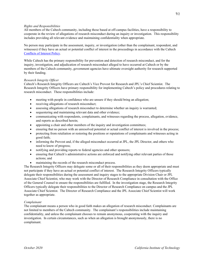# *Rights and Responsibilities*

All members of the Caltech community, including those based at off-campus facilities, have a responsibility to cooperate in the review of allegations of research misconduct during an inquiry or investigation. This responsibility includes providing all relevant evidence and maintaining confidentiality when appropriate.

No person may participate in the assessment, inquiry, or investigation (other than the complainant, respondent, and witnesses) if they have an actual or potential conflict of interest in the proceedings in accordance with the Caltech [Conflicts of Interest Policy.](https://hr.caltech.edu/documents/42-citpolicy_conflict.pdf)

While Caltech has the primary responsibility for prevention and detection of research misconduct, and for the inquiry, investigation, and adjudication of research misconduct alleged to have occurred at Caltech or by the members of the Caltech community, government agencies have ultimate oversight authority for research supported by their funding.

# *Research Integrity Officer*

Caltech's Research Integrity Officers are Caltech's Vice Provost for Research and JPL's Chief Scientist. The Research Integrity Officers have primary responsibility for implementing Caltech's policy and procedures relating to research misconduct. These responsibilities include:

- meeting with people in confidence who are unsure if they should bring an allegation;
- receiving allegations of research misconduct;
- assessing allegations of research misconduct to determine whether an inquiry is warranted;
- sequestering and maintaining relevant data and other evidence;
- communicating with respondents, complainants, and witnesses regarding the process, allegation, evidence, and reports as described herein;
- appointing a chair and other members of the inquiry and investigation committees;
- ensuring that no person with an unresolved potential or actual conflict of interest is involved in the process;
- protecting from retaliation or restoring the positions or reputations of complainants and witnesses acting in good faith;
- informing the Provost and, if the alleged misconduct occurred at JPL, the JPL Director, and others who need to know of progress;
- notifying and providing reports to federal agencies and other sponsors;
- ensuring that Caltech's administrative actions are enforced and notifying other relevant parties of those actions; and
- maintaining the records of the research misconduct process.

The Research Integrity Officers may delegate some or all of their responsibilities as they deem appropriate and must not participate if they have an actual or potential conflict of interest. The Research Integrity Officers typically delegate their responsibilities during the assessment and inquiry stages to the appropriate Division Chair or JPL Associate Chief Scientist, who may work with the Director of Research Compliance in consultation with the Office of the General Counsel to ensure the responsibilities are fulfilled. In the investigation stage, the Research Integrity Officers typically delegate their responsibilities to the Director of Research Compliance on campus and the JPL Associate Chief Scientist. The Director of Research Compliance and the JPL Associate Chief Scientist will work together as appropriate.

# *Complainant*

The complainant means a person who in good faith makes an allegation of research misconduct. Complainants are not limited to members of the Caltech community. The complainant's responsibilities include maintaining confidentiality, and unless the complainant chooses to remain anonymous, cooperating with the inquiry and investigation. In certain circumstances, such as when an allegation is brought anonymously, there is no complainant.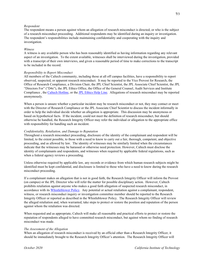# *Respondent*

The respondent means a person against whom an allegation of research misconduct is directed, or who is the subject of a research misconduct proceeding. Additional respondents may be identified during an inquiry or investigation. The respondent's responsibilities include maintaining confidentiality and cooperating with the inquiry and investigation.

# *Witness*

A witness is any available person who has been reasonably identified as having information regarding any relevant aspect of an investigation. To the extent available, witnesses shall be interviewed during the investigation, provided with a transcript of their own interviews, and given a reasonable period of time to make corrections to the transcript to be included in the record.

# *Responsibility to Report Misconduct*

All members of the Caltech community, including those at all off campus facilities, have a responsibility to report observed, suspected, or apparent research misconduct. It may be reported to the Vice Provost for Research, the Office of Research Compliance, a Division Chair, the JPL Chief Scientist, the JPL Associate Chief Scientist, the JPL "Directors For" ("D4s"), the JPL Ethics Office, the Office of the General Counsel, Audit Services and Institute Compliance , th[e Caltech Hotline,](http://www.asic.caltech.edu/hotline) or the [JPL Ethics Help Line.](http://ethics.jpl.nasa.gov/cfm/contacts.cfm) Allegations of research misconduct may be reported anonymously.

When a person is unsure whether a particular incident may be research misconduct or not, they may contact or meet with the Director of Research Compliance or the JPL Associate Chief Scientist to discuss the incident informally in order to help the individual decide whether an allegation is appropriate. This discussion may be anonymous or based on hypothetical facts. If the incident, could not meet the definition of research misconduct, but should otherwise be handled, the Research Integrity Officer may refer the individual or allegation to the appropriate office with responsibility for handling such an incident.

# *Confidentiality, Retaliation, and Damage to Reputation*

Throughout a research misconduct proceeding, disclosure of the identity of the complainant and respondent will be limited, to the extent possible, to those with a need to know to carry out a fair, thorough, competent, and objective proceeding, and as allowed by law. The identity of witnesses may be similarly limited when the circumstances indicate that the witnesses may be harassed or otherwise need protection. However, Caltech must disclose the identity of complainants and respondents, and witnesses when required by applicable federal regulations, such as when a federal agency reviews a proceeding.

Unless otherwise required by applicable law, any records or evidence from which human research subjects might be identified must be kept confidential, and disclosure is limited to those who have a need to know during the research misconduct proceeding.

If a complainant makes an allegation that is not in good faith, the Research Integrity Officer will inform the Provost (on campus) or the JPL Director who will refer the matter for possible disciplinary action. However, Caltech prohibits retaliation against anyone who makes a good faith allegation of suspected research misconduct, in accordance with it[s Whistleblower Policy.](http://hr.caltech.edu/policies/Policies/CITPolicy%20Whistleblower.pdf) Any potential or actual retaliation against a complainant, respondent, witness, or research misconduct inquiry or investigation committee member should be reported to the Research Integrity Officer or reported as described in the Whistleblower Policy. The Research Integrity Officer will review the alleged retaliation and, when warranted, take steps to protect or restore the position and reputation of the person against whom the retaliation was directed.

When requested and as appropriate, Caltech will make all reasonable and practical efforts to protect or restore the reputation of respondents alleged to have committed research misconduct, but against whom no finding of research misconduct was made.

# *The Assessment of the Allegation*

When an allegation of research misconduct is received by an official other than a Research Integrity Officer, it should be immediately brought to the Research Integrity Officer's attention. The Research Integrity Officer will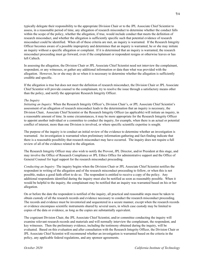typically delegate their responsibility to the appropriate Division Chair or to the JPL Associate Chief Scientist to assess, in a reasonable period of time, any allegation of research misconduct to determine whether the conduct falls within the scope of the policy, whether the allegation, if true, would include conduct that meets the definition of research misconduct, and whether the allegation is sufficiently specific such that potential evidence of research misconduct could be identified. When all of these criteria are met, an inquiry is warranted. If the Research Integrity Officer becomes aware of a possible impropriety and determines that an inquiry is warranted, he or she may initiate an inquiry without a specific allegation or complaint. If it is determined that an inquiry is warranted, the research misconduct proceeding must go forward, even if the complainant or respondent resigns or otherwise leaves or has left Caltech.

In assessing the allegation, the Division Chair or JPL Associate Chief Scientist need not interview the complainant, respondent, or any witnesses, or gather any additional information or data than what was provided with the allegation. However, he or she may do so when it is necessary to determine whether the allegation is sufficiently credible and specific.

If the allegation is true but does not meet the definition of research misconduct, the Division Chair or JPL Associate Chief Scientist will provide counsel to the complainant, try to resolve the issue through a satisfactory means other than the policy, and notify the appropriate Research Integrity Officer.

# *The Inquiry*

*Initiating an Inquiry:* When the Research Integrity Officer's, Division Chair's, or JPL Associate Chief Scientist's assessment of an allegation of research misconduct leads to the determination that an inquiry is necessary, the Division Chair, Associate Chief Scientist or the Research Integrity Officer (as applicable) will initiate an inquiry, in a reasonable amount of time. In some circumstances, it may be more appropriate for the Research Integrity Officer to appoint another individual or a committee to conduct the inquiry, for example, when there is an actual or potential conflict of interest, more than one Division is involved, or where specific scientific expertise is sought.

The purpose of the inquiry is to conduct an initial review of the evidence to determine whether an investigation is warranted. An investigation is warranted when preliminary information-gathering and fact-finding indicate that there is a reasonable possibility that research misconduct may have occurred. The inquiry does not require a full review of all of the evidence related to the allegation.

The Research Integrity Officer may also wish to notify the Provost, JPL Director, and/or President at this stage, and may involve the Office of Research Compliance or JPL Ethics Office for administrative support and the Office of General Counsel for legal support for the research misconduct proceeding.

*Conducting an Inquiry:* The inquiry begins when the Division Chair or JPL Associate Chief Scientist notifies the respondent in writing of the allegation and of the research misconduct proceeding to follow, or when this is not possible, makes a good faith effort to do so. The respondent is entitled to receive a copy of the policy. Any additional respondents identified during the inquiry must also be notified as soon as reasonably possible. When it would be helpful to the inquiry, the complainant may be notified that an inquiry was warranted based on his or her allegation.

On or before the date the respondent is notified of the inquiry, all practical and reasonable steps must be taken to obtain custody of all the research records and evidence necessary to conduct the research misconduct proceeding. The records and evidence must be inventoried and sequestered in a secure manner, except when the research records or evidence encompass scientific instruments shared by several users, in which case custody may be limited to copies of the data or evidence, as long as the copies are substantially equivalent.

The cognizant Division Chair, the JPL Associate Chief Scientist, and/or committee conducting the inquiry will examine relevant research records and materials and will normally interview the complainant, the respondent, and key witnesses. Then the preliminary evidence, including the testimony obtained during the inquiry, will be evaluated. Based on this evaluation and after consultation with the Research Integrity Officer, the Division Chair or JPL Associate Chief Scientist will recommend whether an investigation is warranted based on the criteria in the policy, any applicable federal regulations, and any sponsor agreements.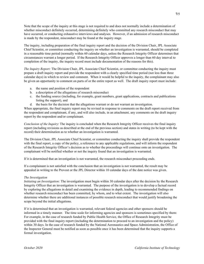Note that the scope of the inquiry at this stage is not required to and does not normally include a determination of whether misconduct definitely occurred, determining definitely who committed any research misconduct that may have occurred, or conducting exhaustive interviews and analyses. However, if an admission of research misconduct is made by the respondent, misconduct may be found at the inquiry stage.

The inquiry, including preparation of the final inquiry report and the decision of the Division Chair, JPL Associate Chief Scientist, or committee conducting the inquiry on whether an investigation is warranted, should be completed in a reasonable time period (normally within 60 calendar days, unless the Research Integrity Officer determines that circumstances warrant a longer period. If the Research Integrity Officer approves a longer than 60 day interval to completion of the inquiry, the inquiry record must include documentation of the reasons for this).

*The Inquiry Report:* The Division Chair, JPL Associate Chief Scientist, or committee conducting the inquiry must prepare a draft inquiry report and provide the respondent with a clearly specified time period (not less than three calendar days) in which to review and comment. When it would be helpful to the inquiry, the complainant may also be given an opportunity to comment on parts of or the entire report as well. The draft inquiry report must include:

- a. the name and position of the respondent
- b. a description of the allegations of research misconduct
- c. the funding source (including, for example, grant numbers, grant applications, contracts and publications listing the support), and
- d. the basis for the decision that the allegations warrant or do not warrant an investigation.

When appropriate, the final inquiry report may be revised in response to comments on the draft report received from the respondent and complainant, if any, and will also include, in an attachment, any comments on the draft inquiry report by the respondent and/or complainant.

*Conclusion of the Inquiry*: The inquiry is concluded when the Research Integrity Officer receives the final inquiry report (including revisions as described at the end of the previous section) and states in writing (to be kept with the record) their determination as to whether an investigation is warranted.

The Division Chair, JPL Associate Chief Scientist, or committee conducting the inquiry shall provide the respondent with the final report, a copy of the policy, a reference to any applicable regulations, and will inform the respondent of the Research Integrity Officer's decision as to whether the proceedings will continue onto an investigation. The complainant will be notified whether or not the inquiry found that an investigation is warranted.

If it is determined that an investigation is not warranted, the research misconduct proceeding ends.

If a complainant is not satisfied with the conclusion that an investigation is not warranted, the result may be appealed in writing to the Provost or the JPL Director within 10 calendar days of the date notice was given.

# *The Investigation*

*Initiating an Investigation:* The investigation must begin within 30 calendar days after the decision by the Research Integrity Officer that an investigation is warranted. The purpose of the investigation is to develop a factual record by exploring the allegations in detail and examining the evidence in depth, leading to recommended findings on whether research misconduct has been committed, by whom, and to what extent. The investigation will also determine whether there are additional instances of possible research misconduct that would justify broadening the scope beyond the initial allegations.

If it is determined that an investigation is warranted, relevant federal agencies and other sponsors should be informed in a timely manner. The time scale for informing agencies and sponsors is sometimes specified by them: For example, in the case of research funded by Public Health Service, the Office of Research Integrity must be provided with the final inquiry report (including the determination to proceed to an investigation and the policy) within 30 days. In the case of research funded by the National Aeronautics and Space Administration, the Office of the Inspector General must be notified as soon as possible once it has been determined that the inquiry supports a formal investigation.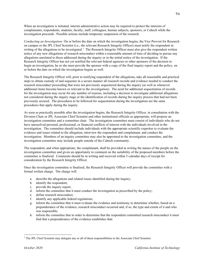When an investigation is initiated, interim administrative action may be required to protect the interests of complainants, respondents, students, faculty, staff, colleagues, human subjects, sponsors, or Caltech while the investigation proceeds. Possible actions include temporary suspension of the research.

*Conducting an Investigation:* On or before the date on which the investigation begins, the Vice Provost for Research on campus or the JPL Chief Scientist (i.e., the relevant Research Integrity Officer) must notify the respondent in writing of the allegations to be investigated.<sup>[1](#page-40-0)</sup> The Research Integrity Officer must also give the respondent written notice of any new allegations of research misconduct within a reasonable amount of time of deciding to pursue any allegations unrelated to those addressed during the inquiry or in the initial notice of the investigation. If the Research Integrity Officer has not yet notified the relevant federal agencies or other sponsors of the decision to begin an investigation, he or she must provide the sponsor with a copy of the final inquiry report and the policy, on or before the date on which the investigation begins as well.

The Research Integrity Officer will, prior to notifying respondent of the allegations, take all reasonable and practical steps to obtain custody of and sequester in a secure manner all research records and evidence needed to conduct the research misconduct proceeding that were not previously sequestered during the inquiry (as well as whenever additional items become known or relevant to the investigation). The need for additional sequestration of records for the investigation may occur for any number of reasons, including a decision to investigate additional allegations not considered during the inquiry stage or the identification of records during the inquiry process that had not been previously secured. The procedures to be followed for sequestration during the investigation are the same procedures that apply during the inquiry.

As soon as practically possible after the investigation begins, the Research Integrity Officer, in consultation with the Division Chair or JPL Associate Chief Scientist and other institutional officials as appropriate, will propose an investigation committee and a committee chair. The investigation committee must consist of individuals who do not have unresolved personal, professional, or financial conflicts of interest with the individuals involved in the investigation. The committee should include individuals with the appropriate scientific expertise to evaluate the evidence and issues related to the allegation, interview the respondent and complainant, and conduct the investigation. Members of an inquiry committee may also be appointed to the investigation committee, and the investigation committee may include people outside of the Caltech community.

The respondent, and when appropriate, the complainant, shall be provided in writing the names of the people on the investigation committee and given an opportunity to comment on the suitability of the proposed members before the committee is finalized. Comments should be in writing and received within 5 calendar days of receipt for consideration by the Research Integrity Officer.

Once the investigation committee is finalized, the Research Integrity Officer will provide the committee with a formal written charge. The charge will:

- a. describe the allegations and related issues identified during the inquiry;
- b. identify the respondent;
- c. provide the inquiry report;
- d. inform the committee that it must conduct the investigation as prescribed by the policy;
- e. define research misconduct;
- f. identify any applicable federal regulations;
- g. inform the committee that it must evaluate the evidence and testimony to determine whether, based on a preponderance of the evidence, research misconduct occurred and, if so, the type and extent of it and who was responsible;
- h. inform the committee that in order to determine that the respondent committed research misconduct it must find that a preponderance of the evidence establishes that:

<span id="page-40-0"></span><sup>&</sup>lt;sup>1</sup> The JPL Chief Scientist may delegate any or all of these responsibilities to the Associate Chief Scientist.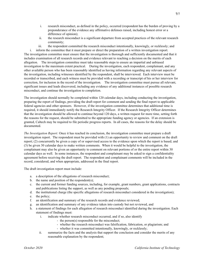- i. research misconduct, as defined in the policy, occurred (respondent has the burden of proving by a preponderance of the evidence any affirmative defenses raised, including honest error or a difference of opinion);
- ii. the research misconduct is a significant departure from accepted practices of the relevant research community;
- iii. the respondent committed the research misconduct intentionally, knowingly, or recklessly; and

i. inform the committee that it must prepare or direct the preparation of a written investigation report. The investigation committee must ensure that the investigation is thorough and sufficiently documented and that it includes examination of all research records and evidence relevant to reaching a decision on the merits of each allegation. The investigation committee must take reasonable steps to ensure an impartial and unbiased investigation to the maximum extent practical. During the investigation, each respondent, complainant, and any other available person who has been reasonably identified as having information regarding any relevant aspects of the investigation, including witnesses identified by the respondent, shall be interviewed. Each interview must be recorded or transcribed, and each witness must be provided with a recording or transcript of his or her interview for correction, for inclusion in the record of the investigation. The investigation committee must pursue all relevant, significant issues and leads discovered, including any evidence of any additional instances of possible research misconduct, and continue the investigation to completion.

The investigation should normally be completed within 120 calendar days, including conducting the investigation, preparing the report of findings, providing the draft report for comment and sending the final report to applicable federal agencies and other sponsors. However, if the investigation committee determines that additional time is required, it should immediately notify the Research Integrity Officer. If the Research Integrity Officer determines that the investigation should be allowed to continue beyond 120 days, a written request for more time, setting forth the reasons for the request, should be submitted to the appropriate funding agency or agencies. If an extension is granted, Caltech may be required to file periodic progress reports. In all cases, the reasons for the delay should be documented.

*The Investigation Report:* Once it has reached its conclusion, the investigation committee must prepare a draft investigation report. The respondent must be provided with (1) an opportunity to review and comment on the draft report; (2) concurrently be given a copy of or supervised access to the evidence upon which the report is based; and (3) be given 30 calendar days to make written comments. When it would be helpful to the investigation, the complainant may also be given an opportunity to comment on relevant portions of or the entire report within 30 calendar days as well. In some instances, the respondent and complainant may be asked to sign a confidentiality agreement before receiving the draft report. The respondent and complainant comments will be included in the record, considered, and when appropriate, addressed in the final report.

The draft investigation report must include:

- a. a description of the allegations of research misconduct;
- b. the name and position of the respondent(s);
- c. the current and former funding sources, including, for example, grant numbers, grant applications, contracts and publications listing the support, as well as any pending proposals;
- d. the institutional charge (the specific allegations of research misconduct considered in the investigation);
- e. the policy;
- f. an identification and summary of the research records and evidence reviewed;
- g. an identification and summary of any evidence taken into custody but not reviewed, and
- h. a statement of findings for each allegation of research misconduct identified during the investigation. Each statement of findings must:
	- i. indicate whether research misconduct occurred, and if so, also identify
		- the person(s) responsible for the misconduct;
		- whether the research misconduct was falsification, fabrication, or plagiarism; and
		- whether it was committed intentionally, knowingly, or recklessly;
	- ii. summarize the facts and the analysis that support the conclusion and consider the merits of any reasonable explanation by the respondent;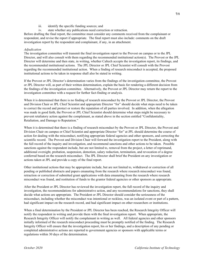- iii. identify the specific funding sources; and
- iv. state whether any publications need correction or retraction.

Before drafting the final report, the committee must consider any comments received from the complainant or respondent, and revise the report if appropriate. The final report must also include: comments on the draft investigation report by the respondent and complainant, if any, in an attachment.

# *Adjudication*

The investigation committee will transmit the final investigation report to the Provost on campus or to the JPL Director, and will also consult with them regarding the recommended institutional action(s). The Provost or the JPL Director will determine and then state, in writing, whether Caltech accepts the investigation report, its findings, and the recommended institutional actions. The JPL Director or JPL Chief Scientist will consult with the Provost regarding the recommended institutional action. When a finding of research misconduct is accepted, the proposed institutional actions to be taken in response shall also be stated in writing.

If the Provost or JPL Director's determination varies from the findings of the investigation committee, the Provost or JPL Director will, as part of their written determination, explain the basis for rendering a different decision from the findings of the investigation committee. Alternatively, the Provost or JPL Director may return the report to the investigation committee with a request for further fact-finding or analysis.

When it is determined that there is no finding of research misconduct by the Provost or JPL Director, the Provost and Division Chair or JPL Chief Scientist and appropriate Director "for" should decide what steps need to be taken to correct the record and protect or restore the reputation of all parties involved. In addition, when the allegation was made in good faith, the Provost or JPL Chief Scientist should determine what steps might be necessary to prevent retaliatory action against the complainant, as stated above in the section entitled "Confidentiality, Retaliation, and Damage to Reputation."

When it is determined that there is a finding of research misconduct by the Provost or JPL Director, the Provost and Division Chair on campus or Chief Scientist and appropriate Director "for" at JPL should determine the course of action for dealing with the misconduct, notifying appropriate federal agencies and other sponsors, and correcting the scientific record. The Provost and Division Chair will forward the investigation report to the President, along with the full record of the inquiry and investigation, and recommend sanctions and other actions to be taken. Possible sanctions against the respondent include, but are not limited to, removal from the project, a letter of reprimand, additional oversight, probation, suspension, demotion, salary reduction, termination, and revocation of a degree conferred based on the research misconduct. The JPL Director shall brief the President on any investigation or actions taken at JPL and provide a copy of the final report.

Other institutional actions that may be appropriate include, but are not limited to, withdrawal or correction of all pending or published abstracts and papers emanating from the research where research misconduct was found, retraction or correction of submitted grant applications with data emanating from the research where research misconduct was found, and restitution of funds to the grantor federal agencies or other sponsors as appropriate.

After the President or JPL Director has reviewed the investigation report, the full record of the inquiry and investigation, the recommendations for administrative action, and any recommendations for sanctions, they shall decide what actions are appropriate. The President or JPL Director should consider the seriousness of the misconduct, including whether the misconduct was intentional or reckless, was an isolated event or part of a pattern, had significant impact on the research record, and had significant impact on other researchers or institutions.

When a final determination by the President or JPL Director has been reached, the Research Integrity Officer will notify the respondent in writing and provide them with the final investigation report. When appropriate, the Research Integrity Officer will notify the complainant in writing as well. All federal agencies and other sponsors initially informed of the research misconduct proceeding must be promptly notified of the finding. The Research Integrity Officer will ensure that the investigation report, his or her findings, and a description of any pending or completed administrative actions are reported to government agencies or sponsors with applicable terms or regulations within 30 days of the determination.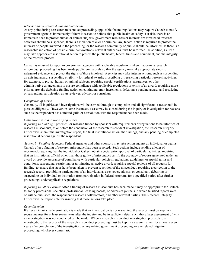# *Interim Administrative Action and Reporting*

At any point during a research misconduct proceeding, applicable federal regulations may require Caltech to notify government agencies immediately if there is reason to believe that public health or safety is at risk, there is an immediate need to protect human or animal subjects, government resources or interests are threatened, research activities should be suspended, there is a violation of civil or criminal law, federal action is required to protect the interests of people involved in the proceeding, or the research community or public should be informed. If there is a reasonable indication of possible criminal violations, relevant authorities must be informed. In addition, Caltech may take appropriate institutional action to protect the public health, federal funds and equipment, and the integrity of the research process.

Caltech is required to report to government agencies with applicable regulations when it appears a research misconduct proceeding has been made public prematurely so that the agency may take appropriate steps to safeguard evidence and protect the rights of those involved. Agencies may take interim actions, such as suspending an existing award; suspending eligibility for federal awards; proscribing or restricting particular research activities, for example, to protect human or animal subjects; requiring special certifications, assurances, or other, administrative arrangements to ensure compliance with applicable regulations or terms of an award; requiring more prior approvals; deferring funding action on continuing grant increments; deferring a pending award; and restricting or suspending participation as an reviewer, advisor, or consultant.

# *Completion of Cases*

Generally, all inquiries and investigations will be carried through to completion and all significant issues should be pursued diligently. However, in some instances, a case may be closed during the inquiry or investigation for reasons such as the respondent has admitted guilt, or a resolution with the respondent has been made.

# *Obligations to and Actions by Sponsors*

*Reporting to Funding Agencies:* For research funded by sponsors with requirements or regulations to be informed of research misconduct, at or before the conclusion of the research misconduct investigation, the Research Integrity Officer will submit the investigation report, the final institutional action, the findings, and any pending or completed institutional actions against the respondent.

*Actions by Funding Agencies:* Federal agencies and other sponsors may take action against an individual or against Caltech after a finding of research misconduct has been reported. Such actions include sending a letter of reprimand; requiring that the individual or Caltech obtain special prior approval of particular activities; requiring that an institutional official other than those guilty of misconduct certify the accuracy of reports generated under an award or provide assurance of compliance with particular policies, regulations, guidelines, or special terms and conditions; suspending, restricting, or terminating an active award; requiring special reviews of all requests for funding to ensure that steps have been taken to prevent repetition of the misconduct; requiring a correction to the research record; prohibiting participation of an individual as a reviewer, advisor, or consultant, debarring or suspending an individual or institution from participation in federal programs for a specified period after further proceedings under applicable regulations.

*Reporting to Other Parties:* After a finding of research misconduct has been made it may be appropriate for Caltech to notify professional societies, professional licensing boards, or editors of journals in which falsified reports were or will be published, the respondent's research collaborators, and other relevant parties. The Research Integrity Officer will be responsible for insuring that those actions take place.

# *Recordkeeping*

If after an inquiry, a determination is made that an investigation is not warranted, the records must be kept in a secure manner for at least seven years after the inquiry and be in sufficient detail such that a later assessment of why an investigation was not conducted can be made. When a research misconduct investigation proceeds to an investigation, the records of the research misconduct proceeding must be kept in a secure manner for at least seven years after completion of the investigation, or any related government proceeding, or any related litigation proceeding, whichever comes last.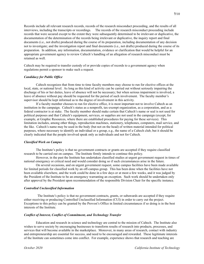Records include all relevant research records, records of the research misconduct proceeding, and the results of all interviews, including the transcripts or recordings. The records of the research misconduct proceeding include records that were secured except to the extent they were subsequently determined to be irrelevant or duplicative, the documentation of the determination of the records being irrelevant or duplicative, the inquiry report and final documents (i.e., not drafts) produced during the course of its preparation, including documentation of any decision not to investigate; and the investigation report and final documents (i.e., not drafts) produced during the course of its preparation. In addition, any information, documentation, evidence or clarification that would be helpful for an appropriate government agency to review Caltech's handling of an allegation of research misconduct must be retained as well.

Caltech may be required to transfer custody of or provide copies of records to a government agency when regulations permit a sponsor to make such a request.

# *Candidacy for Public Office*

Caltech recognizes that from time to time faculty members may choose to run for elective offices at the local, state, or national level. As long as this kind of activity can be carried out without seriously impairing the discharge of his or her duties, leave of absence will not be necessary; but when serious impairment is involved, a leave of absence without pay should be requested for the period of such involvement. The faculty member's supervisor should be kept informed as to the degree of involvement in this activity.

If a faculty member chooses to run for elective office, it is most important not to involve Caltech as an institution in the campaign. Caltech's status as a nonprofit, tax-exempt organization, as a corporation, and as a federal contractor is at stake. The faculty member should make certain that Caltech's name or seal is not used for political purposes and that Caltech's equipment, services, or supplies are not used in the campaign (except, for example, at Graphic Resources, where there are established procedures for paying for these services). This limitation includes, among other things, reproduction machines, stationery, telephones, computers, mail service, and the like. Caltech's name may be used in the body (but not on the head) of written material intended for political purposes, where necessary to identify an individual or a group, e.g., the name of a Caltech club, but it should be clearly indicated that the people involved speak only as individuals and not for Caltech.

# *Classified Work on Campus*

The Institute's policy is that no government contracts or grants are accepted if they require classified research to be carried out on campus. The Institute firmly intends to continue this policy.

However, in the past the Institute has undertaken classified studies at urgent government request in times of national emergency or critical need and would consider doing so if such circumstances arise in the future.

On several occasions, and on urgent government request, some campus facilities have been made available for limited periods for classified work by an off-campus group. This has been done when the facilities have not been available elsewhere, and the work could be done in a few days or at most a few weeks, and it was judged by the President of the Institute to be an emergency warranting an exception. Such work should be undertaken only after approval by the President upon recommendation of the responsible Division Chair for the specific instance.

## *Controlled Unclassified Information*

The Institute's policy is that no government contracts, grants, or subawards are accepted if they require either receiving or producing Controlled Unclassified Information (CUI) in order to carry out the project. Exceptions to this policy can be granted by the Provost's Office in limited circumstances if so doing is in the best interests of the Institute.

# *Conflict of Interest, Conflict of Commitment, and Technology Transfer*

Education and research in science and technology are central to the mission of Caltech. The Institute also wishes to serve society by encouraging businesses to transform results of research into products, processes, and services that will become available in the marketplace. Moreover, in many areas of research, contact with industry and entrepreneurship are essential for success, and need to be encouraged and rewarded. These legitimate interests of the Institute can sometimes come into conflict. For example, experience shows that research and teaching are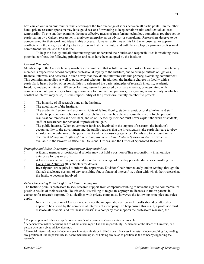best carried out in an environment that encourages the free exchange of ideas between all participants. On the other hand, private research sponsors may have good reasons for wanting to keep certain results confidential, at least temporarily. To cite another example, the most effective means of transferring technology sometimes requires active participation by a Caltech researcher in a private enterprise, as an advisor or consultant. Researchers deserve to be compensated for their work and ideas in this process. However, activities of this kind may pose real or apparent conflicts with the integrity and objectivity of research at the Institute, and with the employee's primary professional commitment, which is to the Institute.

To help the faculty and all other investigators understand their duties and responsibilities in resolving these potential conflicts, the following principles and rules have been adopted by the Institute:

# *General Principles*

Membership in the Caltech faculty involves a commitment that is full time in the most inclusive sense. Each faculty member is expected to accord complete professional loyalty to the Institute, and to arrange outside obligations, financial interests, and activities in such a way that they do not interfere with this primary, overriding commitment. This commitment applies as well to postdoctoral scholars. In addition, the Institute charges its faculty with a particularly heavy burden of responsibilities to safeguard the basic principles of research integrity, academic freedom, and public interest. When performing research sponsored by private interests, or negotiating with companies or entrepreneurs, or forming a company for commercial purposes, or engaging in any activity in which a conflict of interest may arise, it is the responsibility of the professorial faculty member<sup>[2](#page-45-0)</sup> to protect:

- 1. The integrity of all research done at the Institute.<br>2. The good name of the Institute.
- The good name of the Institute.
- 3. The academic freedom and economic rights of fellow faculty, students, postdoctoral scholars, and staff. Students, postdoctoral scholars and research faculty must be able to discuss their work freely, present results at conferences and seminars, and so on. A faculty member must never exploit the work of students, staff, or researchers for personal or professional gain.
- 4. The public interest. When government funds are involved in the support of research, the Institute's accountability to the government and the public requires that the investigators take particular care to obey all rules and regulations of the government and the sponsoring agencies. Details are to be found in the document *Managing Conflict of Interest Requirements Under Federal Sponsored Awards*, which is available in the Provost's Office, the Divisional Offices, and the Office of Sponsored Research.

# *Principles and Rules Concerning Investigator Responsibilities*

- 1. A faculty member or postdoctoral scholar may not hold a position of line responsibility in an outside enterprise for pay or profit.<sup>[2](#page-45-1)</sup>
- 2. A Caltech researcher may not spend more than an average of one day per calendar week consulting. See Consulting Activities (this chapter) for details.
- 3. Investigators are required to inform the appropriate Division Chair, immediately and in writing, through the Caltech disclosure system, of any consulting for, or financial interest<sup>[3](#page-45-2)</sup> in, a firm with which their research at the Institute becomes involved.

# *Rules Concerning Patent Rights and Research Support*

The Institute permits professors to seek research support from companies wishing to have the right to commercialize possible results of their research. To this end, it is willing to negotiate appropriate licenses to future patents in exchange for research support. In all dealings with private companies, however, the following principles and rules apply.

1. Neither the direction of Caltech research nor the interpretation of research results should be altered or appear to be altered by the commercial interests of a company. To help ensure this result, a professor must disclose all financial and business interests<sup>3</sup> in a company that supports the professor's research, the

<span id="page-45-0"></span><sup>&</sup>lt;sup>2</sup> The principles and rules also apply to emeritus faculty members who are active in research.

<span id="page-45-1"></span> $<sup>2</sup>$  A person who makes decisions and to whom others report has line responsibility. A member of the Board of Directors, or a</sup> person who only gives advice, does not.

<span id="page-45-2"></span><sup>&</sup>lt;sup>3</sup> Financial interests do not include interests in mutual funds or in blind trusts. Business interests include consulting for, holding any position of line responsibility in, board membership in, or holding any salaried position at, the company supporting the research.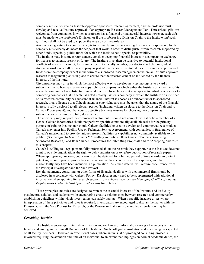company must enter into an Institute-approved sponsored research agreement, and the professor must develop and receive Institute approval of an appropriate Research Management Plan. Unrestricted gifts are welcomed from companies in which a professor has a financial or managerial interest; however, such gifts must be made to the professor's Division, or if the professor is a Division Chair, to the Institute *and* such gift funds shall not be used to support the research of the professor.

- 2. Any contract granting to a company rights to license future patents arising from research sponsored by the company must clearly delineate the scope of that work in order to distinguish it from research supported by other funds, especially public funds for which the Institute has a special responsibility.
- 3. The Institute may, in some circumstances, consider accepting financial interest in a company in exchange for licenses to patents, present or future. The Institute must then be sensitive to potential institutional conflicts of interest. It cannot, for example, permit a faculty member, postdoctoral scholar, or graduate student to work on behalf of the company as part of that person's Institute duties. It cannot accept research funds from the company except in the form of a sponsored research agreement where an Institute approved research management plan is in place to ensure that the research cannot be influenced by the financial interests of the Institute.
- 4. Circumstances may arise in which the most effective way to develop new technology is to award a subcontract, or to license a patent or copyright to a company in which either the Institute or a member of its research community has substantial financial interest. In such cases, it may appear to outside agencies or to competing companies that Caltech has acted unfairly. When a company in which the Institute or a member of its research community has substantial financial interest is chosen as a subcontractor to sponsored research, or as a licensee to a Caltech patent or copyright, care must be taken that the nature of the financial interest is fully disclosed to all relevant parties (including written disclosure to the Division Chair and to Caltech Procurement), and that sound, objective business reasons for choosing the company as subcontractor or licensee are fully documented.
- 5. The university may support the commercial sector, but it should not compete with it or be a member of it. Hence, Caltech laboratories should not perform specific commercially available tasks for the primary purpose of gaining income, nor should Caltech facilities be used to develop and commercialize a product. Caltech may enter into Facility Use or Technical Service Agreements with companies, in furtherance of Caltech's mission and to provide unique research facilities or capabilities not commonly available to the public. (See paragraphs 6 and 7 under "Consulting Activities," Item 4 under "Policies Governing Sponsored Research," and Item 5 under "Procedures for Submitting Proposals and for Accepting Awards," this chapter.)
- 6. Caltech is willing to keep sponsors fully informed about the research they support, but the Institute does not grant to outside organizations the right to delay submission or to refuse publication of research papers. Where appropriate, however, publications can be deferred for a limited period of time in order to protect patent rights, or to protect proprietary information that has been provided by a sponsor, and that inadvertently may have been included in a publication. Any such deferral will require concurrence from the Principal Investigator and the Vice Provost.
- 7. Royalty payments, consulting, or other forms of financial dealings with a commercial firm should be disclosed in accordance with Caltech Policy. Disclosures may need to be supplemented with additional information when applying for research support from a federal agency (see *Managing Conflict of Interest Requirements Under Federal Sponsored Awards* for details).

These principles and rules are designed to protect the essential interests of the Institute and its faculty, postdoctoral scholars and students while encouraging creative relationships between research and commerce by establishing guidelines within which investigators can safely operate. When a specific instance arises where interpretation of these principles and rules is required, investigators are encouraged to discuss the matter with the Division Chair, the Vice Provost for Research, or the Provost so that a sensible and legal resolution may be achieved.

# *Consulting Activities*

The Institute encourages internal consultation and exchange of information among all members of the faculty and among and within all Divisions of the Institute. Such collegial consultation and interchange is expected of all faculty members. However, in exceptional cases, where an unusual or prolonged consulting project is involved requiring the attention and time of an individual to an extent that impinges on normal academic duties, the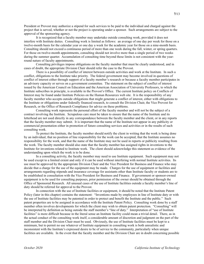President or Provost may authorize a stipend for such services to be paid to the individual and charged against the project that is served, whether or not the project is operating under a sponsor. Such arrangements are subject to the approval of the sponsoring agency.

It is recognized that a faculty member may undertake outside consulting work, provided it does not interfere with Institute duties. Consulting work is limited as follows: an average of one day per week for those on a twelve-month basis for the calendar year or one day a week for the academic year for those on a nine-month basis. Consulting should not exceed a continuous period of more than one week during the fall, winter, or spring quarters. For those on twelve-month appointments, consulting should not involve more than a single period of two weeks during the summer quarter. Accumulation of consulting time beyond these limits is not consistent with the yearround nature of faculty appointments.

Consulting privileges impose obligations on the faculty member that must be clearly understood, and in cases of doubt, the appropriate Division Chair should refer the case to the Provost.

There is a possibility of conflict of interest between outside activities and work at the Institute. In such a conflict, obligations to the Institute take priority. The federal government may become involved in questions of conflict of interest either through support of a faculty member's research or because a faculty member participates in an advisory capacity or serves on a government committee. The statement on the subject of conflict of interest issued by the American Council on Education and the American Association of University Professors, to which the Institute subscribes in principle, is available in the Provost's Office. The current Institute policy on Conflicts of Interest may be found under Institute Policies on the Human Resources web site. It is the responsibility of any faculty member who accepts outside obligations that might generate a conflict of interest, either with obligations to the Institute or obligations under federally financed research, to consult the Division Chair, the Vice Provost for Research, or the Office of Research Compliance for advice on these problems.

Consulting work represents the personal effort of the faculty member and will not be the subject of a contract involving the Institute. Scrupulous care must be taken to ensure that the name of the Institute and its letterhead are not used directly in any correspondence between the faculty member and the client, or in any reports that the faculty member may submit. It is important that the name of the Institute not appear in any publicity or commercial presentation either in promotion of future consulting services and activities or in the results of such consulting work.

To protect the Institute, the faculty member should notify the client in writing that the work is being done by an individual, that no position of line responsibility for the work can be accepted, that the Institute assumes no responsibility for the work, and that the name of the Institute may not be used in reports or publicity resulting from the work. The faculty member should also state that the faculty member has assigned rights in inventions to the Institute for inventions related to Institute work. The client should acknowledge this statement as evidence of the understanding upon which the work is to be done.

In a consulting activity, the faculty member may need to use Institute equipment. Such equipment may not be used except to a limited extent and only if it can be used without interfering with normal Institute activities. Its use must be approved by the appropriate Division Chair and the Vice President for Business and Finance who may decide that a charge for the use of the equipment may be made. Charges for the use of equipment or facilities and arrangements regarding stipends and insurance coverage for assistants other than Institute faculty or students are to be established in consultation with the Vice President for Business and Finance. If government or sponsor-owned equipment is to be used for consulting purposes, prior permission of the owner should be obtained through the Office of Sponsored Research. All unusual cases of the use of Institute facilities outside a faculty member's line of duty should be referred for approval to the Provost.

In connection with the use of Institute facilities or equipment, it should be noted that the Institute Patent Policy (later in this chapter) contains the statement: "Inventions made by employees in line of Institute duty or with the use of Institute facilities may be patented in order to protect and benefit the Institute and the public." Such patent properties are to be assigned in accordance with the Institute Patent Policy. Consulting work done by a staff member often involves developments for which the client may wish to obtain patent protection. "Consulting" will be interpreted by definition as being outside the staff member's "line of duty." Interpretation of "use of Institute facilities" is more difficult because in the literal sense an Institute facility could mean a trivial detail. There, as in the actual conduct of the consulting work itself, a considerable amount of discretion and judgment on the part of the staff member and the Division Chair must be used. Obviously, the use of Institute facilities must be kept to a minimum, but to permit no use whatever of Institute equipment in consulting work is both unrealistic and inconsistent with the Institute's expressed desire to be of service to the community, particularly when unique facilities are available. In the event that the faculty member and the Division Chair are in doubt concerning possible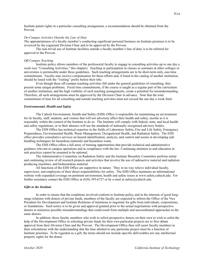Institute patent rights in a particular consulting arrangement, a recommendation should be obtained from the Provost.

# *On-Campus Activities Outside the Line of Duty*

The appropriateness of a faculty member's conducting significant personal business on Institute premises is to be reviewed by the cognizant Division Chair and to be approved by the Provost.

The non-trivial use of Institute facilities outside a faculty member's line of duty is to be referred for approval to the Provost.

# *Off-Campus Teaching*

Institute policy allows members of the professorial faculty to engage in consulting activities up to one day a week (see "Consulting Activities," this chapter). Teaching or participation in classes or seminars at other colleges or universities is permissible under these guidelines. Such teaching arrangements are to be short-term only, one-time commitments. Faculty may receive compensation for these efforts and, if listed in the catalog of another institution, should be listed with the "visiting" prefix before their title.

Even though these off-campus teaching activities fall under the general guidelines of consulting, they present some unique problems. Fixed time commitments, if the course is taught as a regular part of the curriculum of another institution, and the high visibility of such teaching arrangements, create a potential for misunderstanding. Therefore, all such arrangements must be approved by the Division Chair in advance. Note that the total commitment of time for all consulting and outside teaching activities must not exceed the one day a week limit.

# *Environmental, Health and Safety*

The Caltech Environment, Health and Safety (EHS) Office is responsible for maintaining an environment for its faculty, staff, students, and visitors that will not adversely affect their health and safety, insofar as it is reasonably within the control of the Institute to do so. The Institute will comply with federal, state, and local health and safety regulations, or in their absence will use the standards of nationally recognized advisory bodies.

The EHS Office has technical expertise in the fields of Laboratory Safety, Fire and Life Safety, Emergency Preparedness, Environmental Health, Waste Management, Occupational Health, and Radiation Safety. The EHS office provides consultative services on hazard identification, analysis, and control and assists in developing safe handling techniques for hazardous materials and hazardous waste.

The EHS Office offers a full array of training opportunities that provide technical and administrative guidance relevant to campus operations and in compliance with the law. Continuing attention to and education in safe practices cannot be assumed to be optional.

The Administrative Committee on Radiation Safety and the Institute Biosafety Committee perform initial and continuing review of all research projects and activities that involve the use of radioactive material and radiation producing machines, and biohazardous material.

All functions of the EHS Office are supportive in nature. They in no way relieve individual faculty, supervisors, and employees of their direct responsibilities for safety. The EHS Office maintains an informational website with expanded coverage on pertinent environment, health and safety issues at www.safety.caltech.edu. For further assistance contact the EHS Office at  $(626)$  395-6727 or by e-mail at safety@caltech.edu.

# *Gifts to the Institute*

In order to ensure that the conditions involved conform to Institute policy and in the interests of good longrange relations with donors of private funds, members of the faculty are expected to inform the Office of the Vice President for Development and Institute Relations of intentions to negotiate for gifts from individuals, corporations, or foundations. Such notice is to be given and approval granted prior to the actual negotiations with prospective donors to minimize possible misunderstandings that could result from multiple and uncoordinated approaches to the same donors.

In addition, those faculty members who wish to solicit prospective donors on their own or wish to enlist the help of the Development Office in soliciting private funds for their own particular projects are to first obtain approval from their Division Chair and the Provost. The Development Office then will assist faculty members in their solicitations with the understanding that the time allotted to any particular project must be a function of Institute priorities. To be regarded as a gift, the terms should not include specific deliverables nor any intellectual property rights for the donor.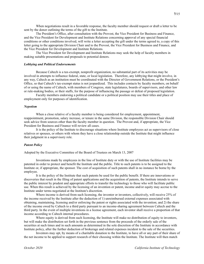When negotiations result in a favorable response, the faculty member should request or draft a letter to be sent by the donor outlining the terms of the gift to the Institute.

The President's Office, after consultation with the Provost, the Vice President for Business and Finance, and the Vice President for Development and Institute Relations concerning approval of any special financial conditions or other conditions involved, will write a letter accepting the gift under the terms agreed to, a copy of this letter going to the appropriate Division Chair and to the Provost, the Vice President for Business and Finance, and the Vice President for Development and Institute Relations.

The Vice President for Development and Institute Relations may seek the help of faculty members in making suitable presentations and proposals to potential donors.

### *Lobbying and Political Endorsements*

Because Caltech is a tax-exempt, nonprofit organization, no substantial part of its activities may be involved in attempts to influence federal, state, or local legislation. Therefore, any lobbying that might involve, in any way, Caltech as an institution must be coordinated with the Director of Government Relations, or the President's Office, so that Caltech's tax-exempt status is not jeopardized. This includes contacts by faculty members, on behalf of or using the name of Caltech, with members of Congress, state legislatures, boards of supervisors, and other law or rule-making bodies, or their staffs, for the purpose of influencing the passage or defeat of proposed legislation.

Faculty members endorsing a political candidate or a political position may use their titles and place of employment only for purposes of identification.

### *Nepotism*

When a close relative of a faculty member is being considered for employment, appointment, reappointment, promotion, salary increase, or tenure in the same Division, the responsible Division Chair should seek advice from sources other than the faculty member in question. The Provost and, if appropriate, the Vice President for Business and Finance will review all cases.

It is the policy of the Institute to discourage situations where Institute employees act as supervisors of close relatives or spouses, or others with whom they have a close relationship outside the Institute that might influence their judgment in a supervisory role.

# *Patent Policy*

Adopted by the Executive Committee of the Board of Trustees on March 13, 2007

Inventions made by employees in the line of Institute duty or with the use of Institute facilities may be patented in order to protect and benefit the Institute and the public. Title to such patents is to be assigned to the Institute or, if appropriate, the sponsor. The cost of acquisition of such patents shall in no instance be borne by the employee.

It is the policy of the Institute that such patents be used for the public benefit. If there are innovations or discoveries that result in the filing of patent applications and the acquisition of patents, the Institute intends to serve the public interest by prudent and appropriate efforts to transfer the technology to those who will facilitate public use. When this result is achieved by the licensing of an invention or patent, income and/or equity may accrue to the Institute under terms negotiated at the Institute's discretion.

Where income is derived from such licensing, the inventor or inventors, collectively, will receive 25% of the income received by the Institute after the deduction of 1) unreimbursed external expenses associated with obtaining, maintaining, licensing and/or enforcing the patent or rights associated with the invention; and 2) the share of the income owed by Caltech to a third party pursuant to an income-sharing agreement between Caltech and the third party. In the event of multiple inventions in a license agreement, each inventor shall receive a proportion of that income according to Caltech internal procedures.

Where equity is derived from such licensing, the Institute will make no distribution of equity to inventors, but will make the distribution set forth in the previous sentence from the proceeds of the orderly sale of the securities at such times and in such amounts as determined in the sole discretion of the Institute in accordance with Institute policy, after the further deduction of brokerage and related expenses incident to the sale of the securities.

Inventors may opt, by means of a charitable donation to the Institute, to have all or any part of their share of the net income to be applied to support research of their choosing within the Institute. The Institute will then match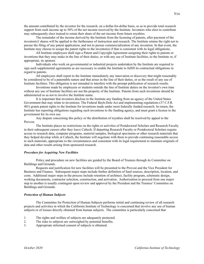the amount contributed by the inventor for the research, on a dollar-for-dollar basis, so as to provide total research support from such income up to 50% of the net income received by the Institute. Inventors who elect to contribute may subsequently elect instead to retain their share of the net income from future royalties.

The remainder of the income derived by the Institute from the licensing of patents, after payment of the inventor(s)' shares will be applied to the furtherance of instruction and research. The Institute retains the right not to pursue the filing of any patent application, and not to pursue commercialization of any invention. In that event, the Institute may choose to assign the patent rights to the inventor(s) if that is consistent with its legal obligations.

All Institute employees shall sign a Patent and Copyright Agreement assigning their rights to patents or inventions that they may make in the line of their duties, or with any use of Institute facilities, to the Institute or, if appropriate, its sponsor.

Individuals who work on governmental or industrial projects undertaken by the Institute are required to sign such supplemental agreements as are necessary to enable the Institute to fulfill its contractual obligations in regard to patents.

All employees shall report to the Institute immediately any innovation or discovery that might reasonably be considered to be of a patentable nature and that arises in the line of their duties, or as the result of any use of Institute facilities. This obligation is not intended to interfere with the prompt publication of research results.

Inventions made by employees or students outside the line of Institute duties on the inventor's own time without any use of Institute facilities are not the property of the Institute. Patents from such inventions should be administered so as not to involve the Institute name.

It is important that inventors disclose to the Institute any funding from an agency of the United States Government that may relate to inventions. The Federal Bayh-Dole Act and implementing regulations (37 C.F.R. 401) grants patent rights to the Institute for inventions made under most federally funded research. In return, the Institute has reporting obligations regarding such inventions to the funding agency, and must grant a license to the government for its own use.

Any dispute concerning this policy or the distribution of royalties shall be resolved by appeal to the Provost.

The Institute places no restrictions on the rights or activities of Postdoctoral Scholars and Research Faculty in their subsequent careers after they leave Caltech. If departing Research Faculty or Postdoctoral Scholars require access to research data, computer programs, material samples, biological specimens or other research materials that they helped develop while at Caltech, the Institute will negotiate with them to provide continuing reasonable access to such materials, appropriate to the circumstances and consistent with its legal requirement to maintain originals of data and other results arising from sponsored research.

# *Procedure for Acquiring New Facilities*

Policy and procedure on new facilities are guided by the Board of Trustees through its Committee on Buildings and Grounds.

Requests and justification for new facilities will be presented to the Provost and the Vice President for Business and Finance. Subsequent major steps include further definition of fund sources, description, location, and costs. Additional major steps in the process include retention of architect, facility program, schematic design, working documents, contractor selection, construction, and activation. Authorization to proceed from one major step to another is usually contingent upon review and approval by the President and the Trustees' Committee on Buildings and Grounds.

# *Protection of Human Subjects*

The Committee for Protection of Human Subjects performs initial and continuing review of all research projects and activities in which the California Institute of Technology is concerned that involve any use of human subjects or of tissues directly obtained from human subjects. The committee is particularly concerned that

- 1. The rights and welfare of subjects are adequately protected.
- 2. The risks to subjects are outweighed by potential benefits.
- 3. Appropriate informed consent of subjects is obtained.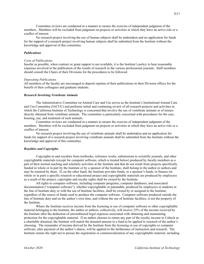Committee reviews are conducted in a manner to ensure the exercise of independent judgment of the members. Members will be excluded from judgment on projects or activities in which they have an active role or a conflict of interest.

No research project involving the use of human subjects shall be undertaken and no application for funds for the support of a research project involving human subjects shall be submitted from the Institute without the knowledge and approval of this committee.

# *Publications*

# *Costs of Publications*

Insofar as possible, when contract or grant support is not available, it is the Institute's policy to bear reasonable expenses involved in the publication of the results of research in the various professional journals. Staff members should consult the Chairs of their Divisions for the procedures to be followed.

# *Depositing Publications*

All members of the faculty are encouraged to deposit reprints of their publications in their Division offices for the benefit of their colleagues and graduate students.

# *Research Involving Vertebrate Animals*

The Administrative Committee on Animal Care and Use serves as the Institute's Institutional Animal Care and Use Committee (IACUC) and performs initial and continuing review of all research projects and activities in which the California Institute of Technology is concerned that involve the use of vertebrate animals or of tissues directly obtained from vertebrate animals. The committee is particularly concerned with procedures for the care, housing, use, and treatment of such animals.

Committee reviews are conducted in a manner to ensure the exercise of independent judgment of the members. Members will be excluded from judgment on projects or activities in which they have an active role or a conflict of interest.

No research project involving the use of vertebrate animals shall be undertaken and no application for funds for support of a research project involving vertebrate animals shall be submitted from the Institute without the knowledge and approval of this committee.

# *Royalties and Copyrights*

Copyrights to and royalties from textbooks, reference works, submissions to scientific journals, and other copyrightable materials (except for computer software, which is treated below) produced by faculty members as a part of their normal teaching and scholarly activities at the Institute and that do not result from projects specifically funded in whole or in part by the Institute or by a sponsor of the Institute, shall belong to the author or authors and may be retained by them. If, on the other hand, the Institute provides funds, or a sponsor's funds, to finance (in whole or in part) a specific research or educational project and copyrightable materials are produced by employees as a result of the project, copyrights and royalty rights shall be owned by the Institute.

All rights to computer software, including computer programs, computer databases, and associated documentation ("computer software"), whether copyrightable or patentable, produced by employees or students in the line of Institute duty or with the use of Institute facilities, shall be owned by or assigned to the Institute, regardless of the source of funds used to produce the computer software. Computer software produced outside the line of Institute duty and on the author's own time, and without the use of Institute facilities, is not the property of the Institute.

Where the Institute receives income from the licensing or use of computer software or other copyrightable material belonging to the Institute, the author or authors, collectively, will receive 25% of the income received by the Institute after the deduction of unreimbursed legal expenses associated with obtaining and maintaining protection for the copyrightable material. If an author chooses to return any part of the royalty income to Caltech as a charitable donation, the Institute will match the donated amount in a fund to be applied to research of the author's choosing. The remainder of income derived by the Institute from the licensing or use of copyrights or computer software, after payment of the author's shares, will be applied to the furtherance of instruction and research. The Institute retains the right not to pursue the registration or commercialization of any copyrightable material, including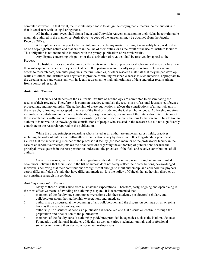computer software. In that event, the Institute may choose to assign the copyrightable material to the author(s) if that is consistent with its legal obligations.

All Institute employees shall sign a Patent and Copyright Agreement assigning their rights in copyrightable materials authored in the manner set forth above. A copy of the agreement may be obtained from the Faculty Records Office.

All employees shall report to the Institute immediately any matter that might reasonably be considered to be of a copyrightable nature and that arises in the line of their duties, or as the result of the use of Institute facilities. This obligation is not intended to interfere with the prompt publication of research results.

Any dispute concerning this policy or the distribution of royalties shall be resolved by appeal to the Provost.

The Institute places no restrictions on the rights or activities of postdoctoral scholars and research faculty in their subsequent careers after they leave Caltech. If departing research faculty or postdoctoral scholars require access to research data, computer programs, material samples, or other research materials that they helped develop while at Caltech, the Institute will negotiate to provide continuing reasonable access to such materials, appropriate to the circumstances and consistent with its legal requirement to maintain originals of data and other results arising from sponsored research.

# *Authorship Disputes*

The faculty and students of the California Institute of Technology are committed to disseminating the results of their research. Therefore, it is common practice to publish the results in professional journals, conference proceedings, and monographs. The authorship of these publications reflects the contributions of all participants in the research, following the accepted practices of the field of study and the Caltech honor code. Authorship requires a significant contribution to the conceptualization, design, execution, evaluation of the data and/or interpretation of the research and a willingness to assume responsibility for one's specific contributions to the research. In addition to authors, it is normal to acknowledge the contributions of people who assisted in the research but did not significantly contribute to the research reported in the publication.

While the broad principles regarding who is listed as an author are universal across fields, practices including the order of authors in multi-authored publications vary by discipline. It is long-standing practice at Caltech that the supervising member of the professorial faculty (the lead member of the professorial faculty in the case of collaborative research) makes the final decisions regarding the authorship of publications because the principal investigator is in the best position to understand the practices of the field and relative contributions of all authors.

On rare occasions, there are disputes regarding authorship. These may result from, but are not limited to, co-authors believing that their place in the list of authors does not fairly reflect their contributions, acknowledged individuals believing that their contributions are significant enough to merit authorship, and collaborative projects across different fields of study that have different practices. It is the policy of Caltech that authorship disputes do not constitute research misconduct.

# *Avoiding Authorship Disputes*

Many of these disputes arise from mismatched expectations. Therefore, early, ongoing and open dialog is the most effective means of avoiding an authorship dispute. It is recommended that

- 1. members of the faculty have ongoing conversations with their students, postdoctoral scholars, and collaborators about their authorship expectations and practices;
- 2. authorship be discussed at the beginning of any collaboration and the discussion continue on an ongoing basis as the research evolves; and
- 3. authorship be discussed as soon as a publication is conceived and that discussion continue through the preparation and finalization of the publication;
- 4. members of the faculty consult authorship guidelines provided by agencies such as the National Science Foundation and National Institutes of Health, as well as various technical journals and professional societies in framing their decisions about authorship issues.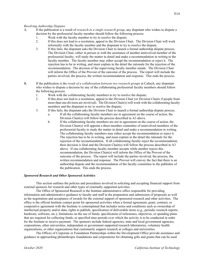- A. If the publication is a result of *research in a single research group*, any disputant who wishes to dispute a decision by the professorial faculty member should follow the following process:
	- 1. Work with the faculty member to try to resolve the dispute;
	- 2. If this does not lead to a resolution, appeal to the Division Chair. The Division Chair will work informally with the faculty member and the disputant to try to resolve the dispute;
	- 3. If this fails, the disputant asks the Division Chair to launch a formal authorship dispute process. The Division Chair, either in person or with the assistance of another uninvolved member of the professorial faculty, will study the matter in detail and make a recommendation in writing to the faculty member. The faculty member may either accept the recommendation or reject it. The rejection has to be in writing, and must explain in the detail the rationale for the rejection of the recommendation. The decision of the supervising faculty member stands. The Division Chair will inform the Office of the Provost of the outcome of the process. The report will include the parties involved, the process, the written recommendation and response. This ends the process.
- B. If the publication is the *result of a collaboration between two research groups* at Caltech, any disputant who wishes to dispute a decision by any of the collaborating professorial faculty members should follow the following process:
	- 1. Work with the collaborating faculty members to try to resolve the dispute;
	- 2. If this does not lead to a resolution, appeal to the Division Chair (or Division Chairs if people from more than one division are involved). The Division Chair(s) will work with the collaborating faculty members and the disputant to try to resolve the dispute;
	- 3. If this fails, the disputant asks the Division Chair to launch a formal authorship dispute process.
		- a. If all the collaborating faculty members are in agreement on the course of action, the Division Chair(s) will follow the process described in A3 above.
		- b. If the collaborating faculty members are not in agreement on the course of action, the Division Chair(s) will appoint a three-member committee of uninvolved members of the professorial faculty to study the matter in detail and make a recommendation in writing. The collaborating faculty members may either accept the recommendation or reject it. The rejection has to be in writing, and must explain in the detail the rationale for the rejection of the recommendation. If all collaborating faculty reject the recommendation, their decision is final and the Division Chair(s) will follow the process described in A3 above. If one collaborating faculty member accepts while another rejects this recommendation, the Division Chair(s) will inform the Office of the Provost of the outcome of the process. The report will include the parties involved, the process, the written recommendation and response. The Provost will convey the fact that there is an authorship dispute and the recommendation of the faculty committee to the publisher of the publication. This ends the process.

# *Sponsored Research and Other Sponsored Activities*

This section outlines the policies and procedures involved in soliciting and accepting financial support from external sponsors for research and other types of externally supported activities.

The Office of Sponsored Research is the Institute administrative office responsible for providing information and administrative guidance to faculty and staff in the preparation and submission of proposals as well as the negotiation and acceptance of awards for the external support of sponsored research and other activities. The office is the official Institute contact point for sponsored activities when a formal agreement, grant, contract, or cooperative agreement with the Institute is contemplated that includes terms and conditions such as ownership of intellectual property and/or data; rights to publish; specification of deliverable items (e.g., periodic research reports, hardware, software, etc.); limitations on the use of funds; specification of milestones, objectives, or spending plans that are required for collecting funds; or specified time periods over which the activity is to be conducted in order for the Institute to receive payment. The sponsors include federal agencies, state and local government agencies, corporations, other universities, independent or government supported research laboratories, voluntary health organizations, or other organizations that customarily support research at colleges and universities.

The Offices of Corporate or Foundation Partnerships within the Development Office provide assistance and guidance in approaching philanthropic foundations and corporations for obtaining gifts and grants that can be used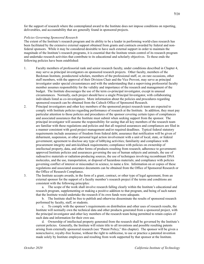for the support of research where the contemplated award to the Institute does not impose conditions on reporting, deliverables, and accountability that are generally found in sponsored projects.

# *Policies Governing Sponsored Research*

The extent of the Institute's research program and its ability to be a leader in performing world-class research has been facilitated by the extensive external support obtained from grants and contracts awarded by federal and nonfederal sponsors. While it may be considered desirable to have such external support in order to maintain the magnitude of the Institute's research programs, it is essential that the Institute retain control of its research program and undertake research activities that contribute to its educational and scholarly objectives. To these ends the following policies have been established:

- 1. Faculty members of professorial rank and senior research faculty, under conditions described in Chapter 4, may serve as principal investigators on sponsored research projects. Other faculty, members of the Beckman Institute, postdoctoral scholars, members of the professional staff, or, on rare occasions, other staff members, with the approval of their Division Chair and the Vice Provost, may serve as principal investigator under special circumstances and with the understanding that a supervising professorial faculty member assumes responsibility for the validity and importance of the research and management of the budget. The Institute discourages the use of the term co-principal investigator, except in unusual circumstances. Normally, each project should have a single Principal Investigator, with collaborating individuals listed as co-investigators. More information about the policies and procedures regarding sponsored research can be obtained from the Caltech Office of Sponsored Research.
- 2. Principal investigators and other key members of the sponsored project research team are expected to comply with Institute policies regarding performance of research at the Institute. In addition, they must pay particular attention to those policies and procedures of the sponsor covering certain types of compliances and associated assurances that the Institute must submit when seeking support from the sponsor. The principal investigator will assume the responsibility for seeing that all key members of the research team are familiar with these regulations and policies and that all required assurances and compliances are filed in a manner consistent with good project management and/or required deadlines. Typical federal statutory requirements include assurance of freedom from federal debt; assurance that notification will be given of debarment, suspension, or other personal legal action involvement with a unit of local, state, or federal government; agreement to disclose any type of lobbying activities; familiarity and compliance with procurement integrity and anti-kickback requirements; compliance with policies on ownership of intellectual property, data, and other forms of products resulting from research; adherence to governmentapproved Institute policies and assurances governing the use of human subjects and animals, the use of radioactive materials or radiation-producing sources, the use of techniques involving recombinant DNA molecules, and the use, transportation, or disposal of hazardous materials; and compliance with policies governing conflict of interest or misconduct in science, to name a few. Information on or copies of these regulations and associated assurance documents can be obtained from the Office of Sponsored Research or the Office of Research Compliance.
	-

3. The Institute accepts awards, in the form of a grant, contract, or other type of legal agreement, from an external sponsor for the support of a faculty member's research project if the terms and conditions are consistent with the following principles:

a. The scope of the work shall involve research falling clearly within the Institute's educational and research program, supplementing or making a positive addition to that program, and being of such nature that the Institute would undertake the research if its own funds were adequate.

b. The Institute shall be free to publish and otherwise disseminate the results of sponsored research performed by faculty, staff, or students.

c. To comply with the sponsor's requirements on distribution and other uses of research results, the Institute will normally own the technical data and other products generated from a sponsored project, with the principal investigator and other key members of the research team being permitted to retain copies of such data and information for their own use.

d. Ownership of intellectual property generated from the research shall be governed by the Institute's current policies. Generally, the Institute will retain title to all inventions and possible resulting patents arising from externally sponsored research (see "Patent Policy," this chapter). The sponsor will be given a nonexclusive, royalty-free license, without the right to sublicense, to use or practice a patented invention made solely by Institute employees and resulting from work supported by that sponsor at the Institute.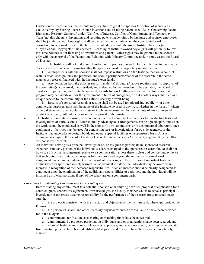Under some circumstances, the Institute may negotiate to grant the sponsor the option of securing an exclusive royalty-bearing license on such inventions and resulting patents (see "Rules Concerning Patent Rights and Research Support," under "Conflict of Interest, Conflict of Commitment, and Technology Transfer," this chapter). Inventions and resulting patents made jointly by Institute and sponsor employees shall be jointly owned. Copyrights shall be owned by the Institute when the copyrighted work is considered to be a work made in the line of Institute duty or with the use of Institute facilities (see "Royalties and Copyrights," this chapter). Licensing of Institute-owned copyrights will generally follow the same policies as for licensing of inventions and patents. Other rights may be granted to the sponsor only with the approval of the Patents and Relations with Industry Committee and, in some cases, the Board of Trustees.

e. The Institute will not undertake classified or proprietary research. Further, the Institute normally does not desire to receive information that the sponsor considers proprietary or confidential.

f. Arrangements with the sponsor shall not impose restrictions on the Institute that are in conflict with its established policies and practices, and should permit performance of the research in the same manner as research financed with the Institute's own funds.

g. Any deviation from the policies set forth under (a) through (f) above requires specific approval of the committee(s) concerned, the President, and if deemed by the President to be desirable, the Board of Trustees. In particular, with suitable approval, awards for work falling outside the Institute's normal program may be undertaken for the government in times of emergency, or if it in other ways qualified as a unique service to the community or the nation's security or well-being.

h. Results of sponsored research or testing shall not be used for advertising, publicity, or other commercial purposes, nor shall the name of the Institute be used in any way, whether in the form of written or verbal statements, that could constitute or imply an endorsement by the Institute of any commercial product or service, without the prior written approval of the Institute.

- 4. The Institute has certain unusual, or even unique, items of equipment or facilities for conducting tests and investigations of various kinds. When mutually advantageous arrangements can be agreed upon, and when the work cannot be conducted as well in the sponsor's own laboratories or in a commercial laboratory, such equipment or facilities may be used for conducting tests or investigations for outside agencies, or the Institute may undertake to design, build, and operate special facilities on a sponsored basis. All such arrangements require the use of a Facilities Use or Technical Services Agreement, negotiated by the Office of Sponsored Research.
- 5. An individual serving as a principal investigator on, or assigned to participate in, sponsored research (whether or not any portion of the individual's salary is charged to the sponsored research funds) shall not by virtue of such an arrangement receive extra compensation unless there is clear and compelling evidence that such duties constitute added responsibilities above and beyond the individual's normal work assignment. When in the judgment of the President or a designee, the direction of important Institute affairs (whether sponsored or not) warrants an adjustment in salary, the individual may be awarded an increase in recognition of the increased responsibilities. Such an increase should be clearly designated as contingent upon the continuation of the additional responsibilities or activities, and the individual will be informed as to what portions, if any, of the salary are on a contingent basis.

# *Procedures for Submitting Proposals and for Accepting Awards*

1. Before making any commitment to a potential sponsor, or submitting a written proposal or application for a contract, grant, cooperative agreement, or restricted gift, the faculty member who is to serve as principal investigator or otherwise assume responsibility for the performance of the research program shall make sure that:

a. the project is consistent with the mission and objectives of the Institute and, where appropriate, the Division;

b. the personnel, space, and other necessary physical resources are available or have been provided for in the budget;

- c. commitments for Institute cost sharing or matching funds have been secured;
- d. commitments by proposed participating individuals and/or organizations have been secured; and

e. required Institute and sponsor clearances, approvals, and where necessary, permissions to deviate from Institute policies, have been identified and steps are under way to have these obtained in a timely manner.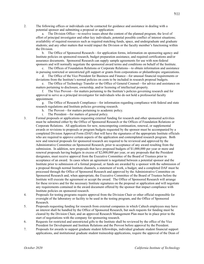2. The following offices or individuals can be contacted for guidance and assistance in dealing with a potential sponsor and submitting a proposal or application:

a. The Division Office—to resolve issues about the content of the planned program; the level of effort of principal investigator and other key individuals; potential possible conflict of interest situations; availability of required resources such as required matching funds, space, and undergraduate and graduate students; and any other matters that would impact the Division or the faculty member's functioning within the Division.

b. The Office of Sponsored Research—for application forms, information on sponsoring agency and Institute policies on sponsored research, budget preparation assistance, and required certifications and/or assurance documents. Sponsored Research can supply sample agreements for use with non-federal sponsors and will normally negotiate the sponsored award terms and conditions on behalf of the Institute.

c. The Offices of Foundation Relations or Corporate Relations—to obtain information and assistance in pursuing restricted or unrestricted gift support or grants from corporations or philanthropic organizations.

d. The Office of the Vice President for Business and Finance—for unusual financial requirements or deviations from the Institute's normal policies on costs to be included in research proposal budgets.

e. The Office of Technology Transfer or the Office of General Counsel—for advice and assistance on matters pertaining to disclosure, ownership, and/or licensing of intellectual property.

f. The Vice Provost—for matters pertaining to the Institute's policies governing research and for approval to serve as a principal investigator for individuals who do not hold a professorial faculty appointment.

g. The Office of Research Compliance—for information regarding compliance with federal and state research regulations and Institute policies governing research.

- h. The Provost—for matters pertaining to academic policy.
- i. The President—for matters of general policy.
- 3. Formal proposals or applications requesting external funding for research and other sponsored activities must be submitted either by the Office of Sponsored Research or the Offices of Foundation Relations or Corporate Relations. All applications for new, noncompeting continuation, renewal, or supplemental awards or revisions to proposals or program budgets requested by the sponsor must be accompanied by a completed Division Approval Form (DAF) that will have the signatures of the appropriate Institute officials who are required to approve certain aspects of the application and contemplated research program. Both new and renewal proposals for sponsored research are required to be reviewed and approved by the Administrative Committee on Sponsored Research, prior to acceptance of any award resulting from the submission. In addition, new proposals that have proposed budgets of \$1,000,000 per year or more and renewal proposals having budgets in excess of \$2,000,000 per year, or any proposals that the President designates, must receive approval from the Executive Committee of the Board of Trustees prior to acceptance of an award. In cases where an agreement is negotiated between a potential sponsor and the Institute prior to submission of a formal proposal, or funds are awarded by a sponsor with the submission of a proposal through normal Institute channels, a statement of work, a budget, and a completed DAF must be processed through the Office of Sponsored Research and approved by the Administrative Committee on Sponsored Research and, when appropriate, the Executive Committee of the Board of Trustees before the Institute will execute the agreement or accept the award. The Office of Sponsored Research will arrange for these reviews and for the necessary Institute signatures on the proposal or application and will negotiate any requirements contained in the award document offered by the sponsor that impact compliance with Institute policies on sponsored research.
- 4. Proposals for testing programs require approval from the Division Chair or other official responsible for oversight of the laboratory or facility to be used in the testing program, and the Office of Sponsored Research.
- 5. Proposals requesting funding for research from external companies in which Caltech employees may have an interest shall be handled by the Office of Sponsored Research, but such requests for funding must be cleared by the Division Chair, and an approved Research Management Plan must be in place prior to the start of negotiations with the company for sponsoring research.
- 6. Requests for restricted and unrestricted gifts to the Institute shall be reviewed by the office of the Vice President for Development and Institute Relations and the Provost before approval by the President.
- 7. Proposals for awards to support graduate student fellowships, individual graduate student financial support applications, and institutional graduate student traineeship applications, require the approval of the Dean of

**7/**22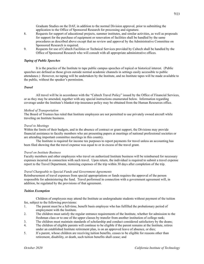Graduate Studies on the DAF, in addition to the normal Division approval, prior to submitting the application to the Office of Sponsored Research for processing and signature.

- 8. Requests for support of educational projects, summer institutes, and similar activities, as well as proposals for support for the purchase of equipment or renovation of facilities shall be handled by the same procedures as described above except that no review and approval by the Administrative Committee on Sponsored Research is required.
- 9. Requests for use of Caltech Facilities or Technical Services provided by Caltech shall be handled by the Office of Sponsored Research who will consult with all appropriate administrative offices.

# *Taping of Public Speeches*

It is the practice of the Institute to tape public campus speeches of topical or historical interest. (Public speeches are defined as those given outside normal academic channels in settings easily accessible to public attendance.) However, no taping will be undertaken by the Institute, and no Institute tapes will be made available to the public, without the speaker's permission.

# *Travel*

All travel will be in accordance with the "Caltech Travel Policy" issued by the Office of Financial Services, or as they may be amended, together with any special instructions enumerated below. Information regarding coverage under the Institute's blanket trip-insurance policy may be obtained from the Human Resources office.

# *Method of Transportation*

The Board of Trustees has ruled that Institute employees are not permitted to use privately owned aircraft while traveling on Institute business.

# *Travel to Meetings*

Within the limits of their budgets, and in the absence of contract or grant support, the Divisions may provide financial assistance to faculty members who are presenting papers at meetings of national professional societies or are attending important committee meetings in this country.

The Institute is required for income tax purposes to report payments for travel unless an accounting has been filed showing that the travel expense was equal to or in excess of the travel grant.

### *Travel on Institute Business*

Faculty members and other employees who travel on authorized Institute business will be reimbursed for necessary expenses incurred in connection with such travel. Upon return, the individual is required to submit a travel expense report to the Travel Department, itemizing expenses of the trip within 30 days after completion of the trip.

# *Travel Chargeable to Special Funds and Government Agreements*

Reimbursement of travel expenses from special appropriations or funds requires the approval of the person responsible for administering the fund. Travel performed in connection with a government agreement will, in addition, be regulated by the provisions of that agreement.

### *Tuition Exemption*

Children of employees may attend the Institute as undergraduate students without payment of the tuition fee, subject to the following provisions:

- 1. The parent must be a full-time, benefit basis employee who has fulfilled the probationary period of employment with the Institute.
- 2. The children must satisfy the regular entrance requirements of the Institute, whether for admission to the freshman class or to one of the upper classes by transfer from another institution of college rank;
- 3. The children must maintain standards of scholarship and conduct considered satisfactory by the deans;
- 4. The children of eligible parents will continue to be eligible if the parent remains at the Institute, retires under an established Institute retirement plan, is on an approved leave of absence, or dies;
- 5. If a parent, whose children are receiving tuition benefits, ceases to be eligible for reasons other than retirement, disability, or death, such tuition benefits shall cease; and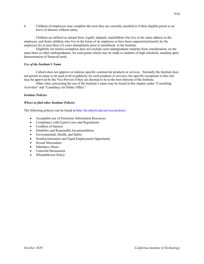6. Children of employees may complete the term they are currently enrolled in if their eligible parent is on leave of absence without salary.

Children are defined as natural born, legally adopted, stepchildren who live at the same address as the employee, and foster children who live in the home of an employee or have been supported primarily by the employee for at least three (3) years immediately prior to enrollment at the Institute.

Eligibility for tuition exemption does not exclude such undergraduate students from consideration, on the same basis as other undergraduates, for cash grants which may be made to students of high scholastic standing upon demonstration of financial need.

# *Use of the Institute's Name*

Caltech does not approve or endorse specific commercial products or services. Normally the Institute does not permit its name to be used at all in publicity for such products or services, but specific exceptions to this rule may be approved by the Vice Provost if they are deemed to be in the best interests of the Institute.

Other rules concerning the use of the Institute's name may be found in this chapter under "Consulting Activities" and "Candidacy for Public Office."

# *Institute Policies*

# *Where to find other Institute Policies*

The following policies can be found at<http://hr.caltech.edu/services/policies>

- Acceptable use of Electronic Information Resources
- Compliance with Export Laws and Regulations
- Conflicts of Interest
- Disability and Reasonable Accommodation
- Environmental, Health, and Safety
- Nondiscrimination and Equal Employment Opportunity
- Sexual Misconduct
- Substance Abuse
- Unlawful Harassment
- Whistleblower Policy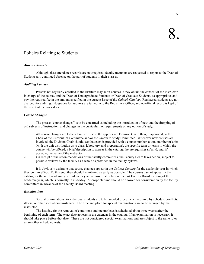# Policies Relating to Students

# *Absence Reports*

Although class attendance records are not required, faculty members are requested to report to the Dean of Students any continued absence on the part of students in their classes.

# *Auditing Courses*

Persons not regularly enrolled in the Institute may audit courses if they obtain the consent of the instructor in charge of the course, and the Dean of Undergraduate Students or Dean of Graduate Students, as appropriate, and pay the required fee in the amount specified in the current issue of the *Caltech Catalog*. Registered students are not charged for auditing. No grades for auditors are turned in to the Registrar's Office, and no official record is kept of the result of the work done.

# *Course Changes*

The phrase "course changes" is to be construed as including the introduction of new and the dropping of old subjects of instruction, and changes in the curriculum or requirements of any option of study.

- 1. All course changes are to be submitted first to the appropriate Division Chair, then, if approved, to the Chair of the Curriculum Committee and/or the Graduate Study Committee. Whenever new courses are involved, the Division Chair should see that each is provided with a course number, a total number of units (with the unit distribution as to class, laboratory, and preparation), the specific term or terms in which the course will be offered, a brief description to appear in the catalog, the prerequisites (if any), and, if possible, the name of the instructor.
- 2. On receipt of the recommendations of the faculty committees, the Faculty Board takes action, subject to possible reviews by the faculty as a whole as provided in the faculty bylaws.

It is obviously desirable that course changes appear in the *Caltech Catalog* for the academic year in which they go into effect. To this end, they should be initiated as early as possible. The courses cannot appear in the catalog for the next academic year unless they are approved at or before the last Faculty Board meeting of the academic year, which is normally in mid-May. Appropriate time should be allowed for consideration by the faculty committees in advance of the Faculty Board meeting.

# *Examinations*

Special examinations for individual students are to be avoided except when required by schedule conflicts, illness, or other special circumstances. The time and place for special examinations are to be arranged by the instructor.

The last day for the removal of conditions and incompletes is scheduled about three weeks after the beginning of each term. The exact date appears in the calendar in the catalog. If an examination is necessary, it should take place before that date. These are not considered special examinations and are subject to the same rules as are other scheduled tests.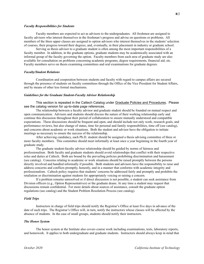# *Faculty Responsibilities for Students*

Faculty members are expected to act as advisors to the undergraduates. All freshmen are assigned to faculty advisors who interest themselves in the freshman's progress and advise on questions or problems. All members of the three upper classes are assigned to option advisors who interest themselves in the students'selection of courses, their progress toward their degrees, and, eventually, in their placement in industry or graduate school.

Serving as thesis advisor to a graduate student is often among the most important responsibilities of a faculty member. In addition, in the graduate options, graduate students may be academically associated with an informal group of the faculty governing the option. Faculty members from each area of graduate study are also available for consultation on problems concerning academic programs, degree requirements, financial aid, etc. Faculty members serve on thesis examining committees and oral examinations for graduate degrees.

# *Faculty/Student Relations*

Coordination and cooperation between students and faculty with regard to campus affairs are secured through the presence of students on faculty committees through the Office of the Vice President for Student Affairs, and by means of other less formal mechanisms.

# *Guidelines for the Graduate Student-Faculty Advisor Relationship*

This section is repeated in the Caltech Catalog under Graduate Policies and Procedures. Please see the catalog version for up-to-date page references.

The relationship between a faculty advisor and graduate student should be founded on mutual respect and open communication. Advisors and students should discuss the nature of their working relationship early and continue this discussion throughout their period of collaboration to ensure mutually understood and compatible expectations. These discussions should be frequent and open, and should include not only work, research goals, and performance reviews, but also change of status, time for personal and family responsibilities, time off (see catalog), and concerns about academic or work situations. Both the student and advisor have the obligation to initiate meetings as necessary to ensure the success of the relationship.

After achieving candidacy, each Ph.D. student should be assigned a thesis advising committee of three or more faculty members. This committee should meet informally at least once a year beginning in the fourth year of graduate study.

The graduate student-faculty advisor relationship should be guided by norms of fairness and professionalism. Both faculty and graduate students should avoid relationships that conflict with their respective roles and duties at Caltech. Both are bound by the prevailing policies prohibiting discrimination and harassment (see catalog). Concerns relating to academic or work situations should be raised promptly between the persons directly involved and handled informally if possible. Both students and advisors have the responsibility to raise and address concerns and conflicts promptly, honestly, and in a manner that conforms with academic integrity and professionalism. Caltech policy requires that students' concerns be addressed fairly and promptly and prohibits the retaliation or discrimination against students for appropriately voicing or raising a concern.

If a problem remains unresolved or if direct discussion is not possible, a student can seek assistance from Division officers (e.g., Option Representatives) or the graduate deans. At any time a student may request that discussions remain confidential. For more details about sources of assistance, consult the graduate option regulations (see catalog) and the Student Problem Resolution Process (see catalog).

# *Field Trips*

Instructors in charge of field trips should notify the Registrar's Office at least five days in advance of the date of such trips. The Registrar's Office will, in turn, notify the instructors whose classes will be affected by the absence of students. In the case of small groups, students should notify their instructors.

# *The Honor System*

The honor system at the Institute also covers course work including examinations, tests, laboratory reports, and homework. It applies to both undergraduate and graduate students. Instructors should always keep in mind that